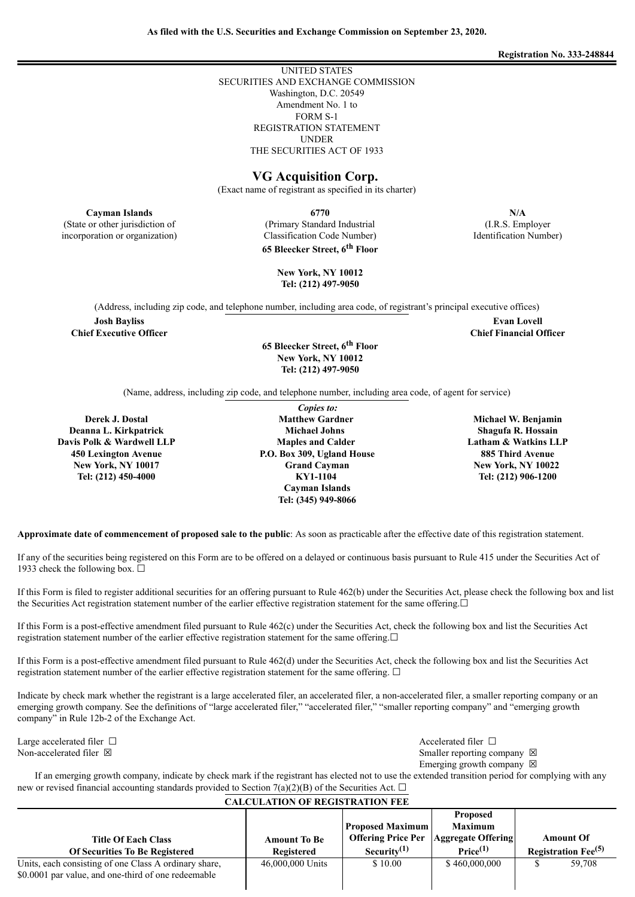**Registration No. 333-248844**

# **As filed with the U.S. Securities and Exchange Commission on September 23, 2020.**

UNITED STATES SECURITIES AND EXCHANGE COMMISSION Washington, D.C. 20549 Amendment No. 1 to FORM S-1 REGISTRATION STATEMENT UNDER THE SECURITIES ACT OF 1933

## **VG Acquisition Corp.**

(Exact name of registrant as specified in its charter)

(Primary Standard Industrial Classification Code Number) **65 Bleecker Street, 6 th Floor**

**Cayman Islands 6770 N/A** (I.R.S. Employer Identification Number)

> **Evan Lovell Chief Financial Officer**

**New York, NY 10012 Tel: (212) 497-9050**

(Address, including zip code, and telephone number, including area code, of registrant's principal executive offices)

**Josh Bayliss Chief Executive Officer**

(State or other jurisdiction of incorporation or organization)

> **65 Bleecker Street, 6 th Floor New York, NY 10012 Tel: (212) 497-9050**

(Name, address, including zip code, and telephone number, including area code, of agent for service)

**Derek J. Dostal Deanna L. Kirkpatrick Davis Polk & Wardwell LLP 450 Lexington Avenue New York, NY 10017 Tel: (212) 450-4000**

*Copies to:* **Matthew Gardner Michael Johns Maples and Calder P.O. Box 309, Ugland House Grand Cayman KY1-1104 Cayman Islands Tel: (345) 949-8066**

**Michael W. Benjamin Shagufa R. Hossain Latham & Watkins LLP 885 Third Avenue New York, NY 10022 Tel: (212) 906-1200**

**Approximate date of commencement of proposed sale to the public**: As soon as practicable after the effective date of this registration statement.

If any of the securities being registered on this Form are to be offered on a delayed or continuous basis pursuant to Rule 415 under the Securities Act of 1933 check the following box.  $\Box$ 

If this Form is filed to register additional securities for an offering pursuant to Rule 462(b) under the Securities Act, please check the following box and list the Securities Act registration statement number of the earlier effective registration statement for the same offering.□

If this Form is a post-effective amendment filed pursuant to Rule 462(c) under the Securities Act, check the following box and list the Securities Act registration statement number of the earlier effective registration statement for the same offering.☐

If this Form is a post-effective amendment filed pursuant to Rule 462(d) under the Securities Act, check the following box and list the Securities Act registration statement number of the earlier effective registration statement for the same offering.  $\Box$ 

Indicate by check mark whether the registrant is a large accelerated filer, an accelerated filer, a non-accelerated filer, a smaller reporting company or an emerging growth company. See the definitions of "large accelerated filer," "accelerated filer," "smaller reporting company" and "emerging growth company" in Rule 12b-2 of the Exchange Act.

Large accelerated filer □ and settled filer □ and settled filer □ and settled filer □ and settled filer □ and settled filer □ and settled filer □ and settled filer □ and settled filer □ and settled filer □ and settled fil

Non-accelerated filer ⊠ Smaller reporting company ⊠

Emerging growth company  $\boxtimes$ 

If an emerging growth company, indicate by check mark if the registrant has elected not to use the extended transition period for complying with any new or revised financial accounting standards provided to Section 7(a)(2)(B) of the Securities Act.  $\Box$ 

| <b>CALCULATION OF REGISTRATION FEE</b>                                                                       |                                   |                                                                        |                                                                                        |                                                     |        |  |  |
|--------------------------------------------------------------------------------------------------------------|-----------------------------------|------------------------------------------------------------------------|----------------------------------------------------------------------------------------|-----------------------------------------------------|--------|--|--|
| <b>Title Of Each Class</b><br><b>Of Securities To Be Registered</b>                                          | <b>Amount To Be</b><br>Registered | <b>Proposed Maximum</b><br><b>Offering Price Per</b><br>Security $(1)$ | <b>Proposed</b><br><b>Maximum</b><br><b>Aggregate Offering</b><br>Price <sup>(1)</sup> | <b>Amount Of</b><br>Registration Fee <sup>(5)</sup> |        |  |  |
| Units, each consisting of one Class A ordinary share,<br>\$0.0001 par value, and one-third of one redeemable | 46,000,000 Units                  | \$10.00                                                                | \$460,000,000                                                                          |                                                     | 59.708 |  |  |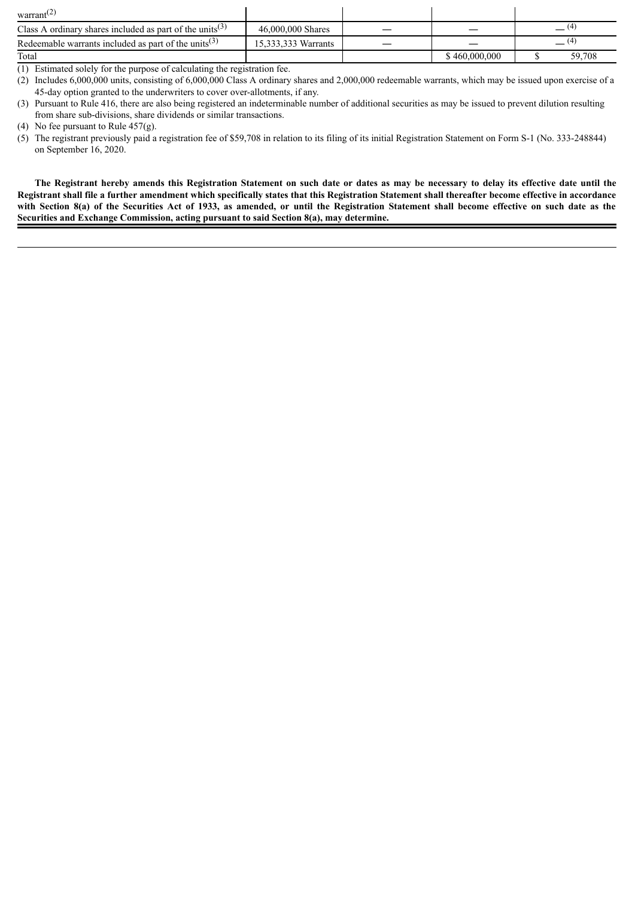| warrant $(4)$                                                        |                     |               |        |  |
|----------------------------------------------------------------------|---------------------|---------------|--------|--|
| Class A ordinary shares included as part of the units <sup>(3)</sup> | 46,000,000 Shares   |               |        |  |
| Redeemable warrants included as part of the units <sup>(3)</sup>     | 15.333.333 Warrants |               |        |  |
| Total                                                                |                     | \$460,000,000 | 59,708 |  |

(1) Estimated solely for the purpose of calculating the registration fee.

(2) Includes 6,000,000 units, consisting of 6,000,000 Class A ordinary shares and 2,000,000 redeemable warrants, which may be issued upon exercise of a 45-day option granted to the underwriters to cover over-allotments, if any.

(3) Pursuant to Rule 416, there are also being registered an indeterminable number of additional securities as may be issued to prevent dilution resulting from share sub-divisions, share dividends or similar transactions.

(5) The registrant previously paid a registration fee of \$59,708 in relation to its filing of its initial Registration Statement on Form S-1 (No. 333-248844) on September 16, 2020.

The Registrant hereby amends this Registration Statement on such date or dates as may be necessary to delay its effective date until the Registrant shall file a further amendment which specifically states that this Registration Statement shall thereafter become effective in accordance with Section 8(a) of the Securities Act of 1933, as amended, or until the Registration Statement shall become effective on such date as the **Securities and Exchange Commission, acting pursuant to said Section 8(a), may determine.**

<sup>(4)</sup> No fee pursuant to Rule 457(g).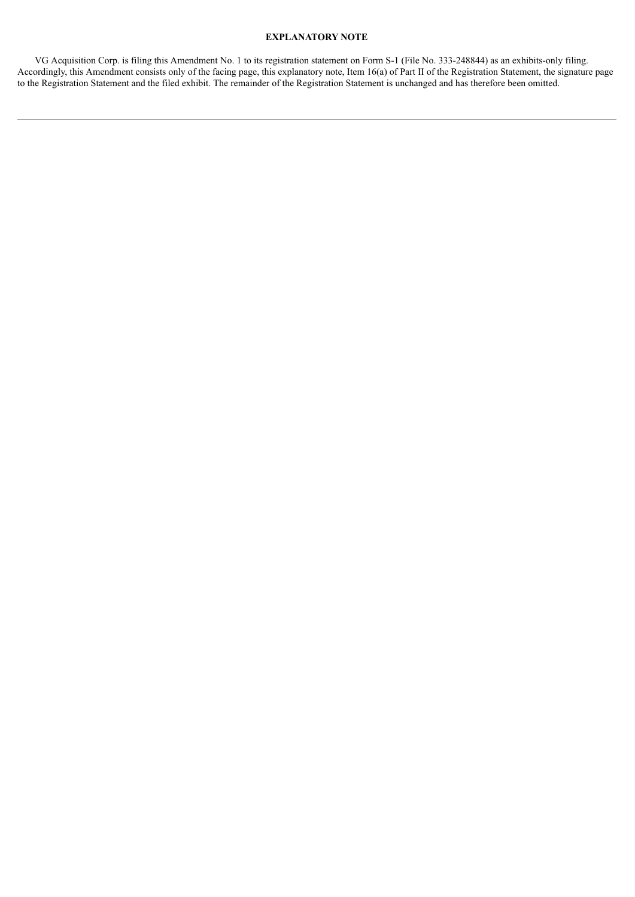## **EXPLANATORY NOTE**

VG Acquisition Corp. is filing this Amendment No. 1 to its registration statement on Form S-1 (File No. 333-248844) as an exhibits-only filing. Accordingly, this Amendment consists only of the facing page, this explanatory note, Item 16(a) of Part II of the Registration Statement, the signature page to the Registration Statement and the filed exhibit. The remainder of the Registration Statement is unchanged and has therefore been omitted.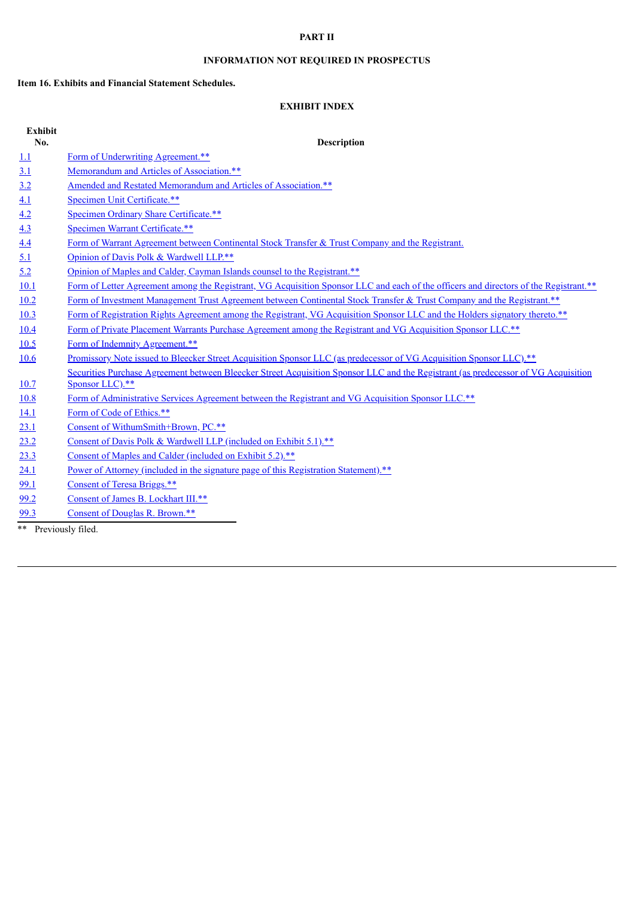## **PART II**

## **INFORMATION NOT REQUIRED IN PROSPECTUS**

## **Item 16. Exhibits and Financial Statement Schedules.**

## **EXHIBIT INDEX**

| <b>Exhibit</b>    |                                                                                                                                       |  |  |  |  |  |
|-------------------|---------------------------------------------------------------------------------------------------------------------------------------|--|--|--|--|--|
| No.               | <b>Description</b>                                                                                                                    |  |  |  |  |  |
| 1.1               | Form of Underwriting Agreement.**                                                                                                     |  |  |  |  |  |
| 3.1               | Memorandum and Articles of Association.**                                                                                             |  |  |  |  |  |
| 3.2               | Amended and Restated Memorandum and Articles of Association.**                                                                        |  |  |  |  |  |
| 4.1               | Specimen Unit Certificate.**                                                                                                          |  |  |  |  |  |
| $\underline{4.2}$ | Specimen Ordinary Share Certificate.**                                                                                                |  |  |  |  |  |
| 4.3               | Specimen Warrant Certificate.**                                                                                                       |  |  |  |  |  |
| 4.4               | Form of Warrant Agreement between Continental Stock Transfer & Trust Company and the Registrant.                                      |  |  |  |  |  |
| 5.1               | Opinion of Davis Polk & Wardwell LLP.**                                                                                               |  |  |  |  |  |
| 5.2               | Opinion of Maples and Calder, Cayman Islands counsel to the Registrant.**                                                             |  |  |  |  |  |
| 10.1              | Form of Letter Agreement among the Registrant, VG Acquisition Sponsor LLC and each of the officers and directors of the Registrant.** |  |  |  |  |  |
| 10.2              | Form of Investment Management Trust Agreement between Continental Stock Transfer & Trust Company and the Registrant.**                |  |  |  |  |  |
| 10.3              | Form of Registration Rights Agreement among the Registrant, VG Acquisition Sponsor LLC and the Holders signatory thereto.**           |  |  |  |  |  |
| 10.4              | Form of Private Placement Warrants Purchase Agreement among the Registrant and VG Acquisition Sponsor LLC.**                          |  |  |  |  |  |
| 10.5              | Form of Indemnity Agreement.**                                                                                                        |  |  |  |  |  |
| 10.6              | Promissory Note issued to Bleecker Street Acquisition Sponsor LLC (as predecessor of VG Acquisition Sponsor LLC).**                   |  |  |  |  |  |
|                   | Securities Purchase Agreement between Bleecker Street Acquisition Sponsor LLC and the Registrant (as predecessor of VG Acquisition    |  |  |  |  |  |
| 10.7              | Sponsor LLC).**                                                                                                                       |  |  |  |  |  |
| 10.8              | Form of Administrative Services Agreement between the Registrant and VG Acquisition Sponsor LLC.**                                    |  |  |  |  |  |
| 14.1              | Form of Code of Ethics.**                                                                                                             |  |  |  |  |  |
| 23.1              | Consent of WithumSmith+Brown, PC.**                                                                                                   |  |  |  |  |  |
| 23.2              | Consent of Davis Polk & Wardwell LLP (included on Exhibit 5.1).**                                                                     |  |  |  |  |  |
| 23.3              | Consent of Maples and Calder (included on Exhibit 5.2).**                                                                             |  |  |  |  |  |
| 24.1              | Power of Attorney (included in the signature page of this Registration Statement).**                                                  |  |  |  |  |  |
| 99.1              | Consent of Teresa Briggs.**                                                                                                           |  |  |  |  |  |
| 99.2              | Consent of James B. Lockhart III.**                                                                                                   |  |  |  |  |  |
| 99.3              | Consent of Douglas R. Brown.**                                                                                                        |  |  |  |  |  |

\*\* Previously filed.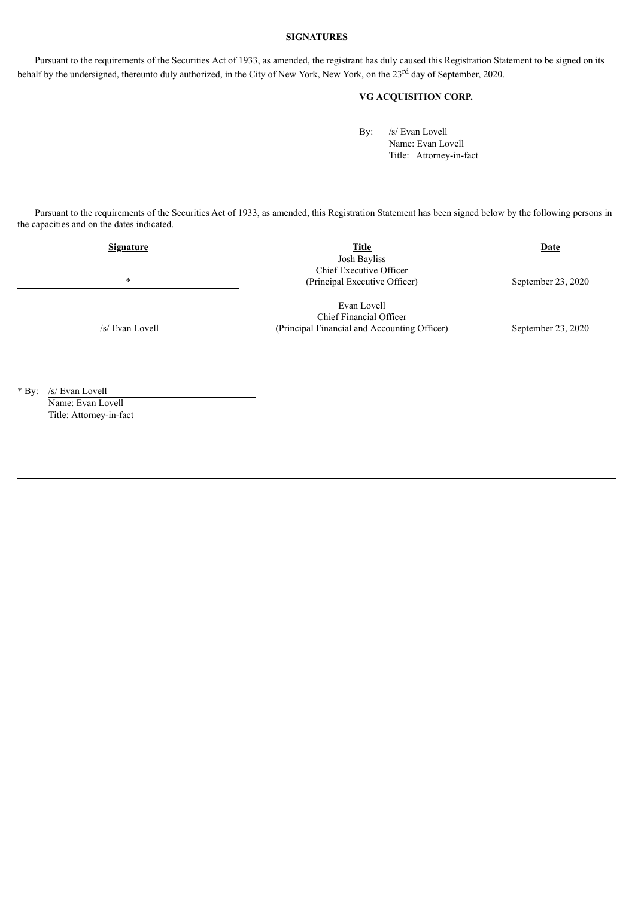## **SIGNATURES**

Pursuant to the requirements of the Securities Act of 1933, as amended, the registrant has duly caused this Registration Statement to be signed on its behalf by the undersigned, thereunto duly authorized, in the City of New York, New York, on the 23<sup>rd</sup> day of September, 2020.

## **VG ACQUISITION CORP.**

By: /s/ Evan Lovell

Name: Evan Lovell Title: Attorney-in-fact

Pursuant to the requirements of the Securities Act of 1933, as amended, this Registration Statement has been signed below by the following persons in the capacities and on the dates indicated.

| <b>Signature</b> | <b>Title</b>                                 | <b>Date</b>          |  |  |
|------------------|----------------------------------------------|----------------------|--|--|
|                  | Josh Bayliss                                 |                      |  |  |
|                  | Chief Executive Officer                      |                      |  |  |
| $\star$          | (Principal Executive Officer)                | September 23, 2020   |  |  |
|                  |                                              |                      |  |  |
|                  | Evan Lovell                                  |                      |  |  |
|                  | Chief Financial Officer                      |                      |  |  |
| /s/ Evan Lovell  | (Principal Financial and Accounting Officer) | September $23, 2020$ |  |  |

\* By: /s/ Evan Lovell Name: Evan Lovell Title: Attorney-in-fact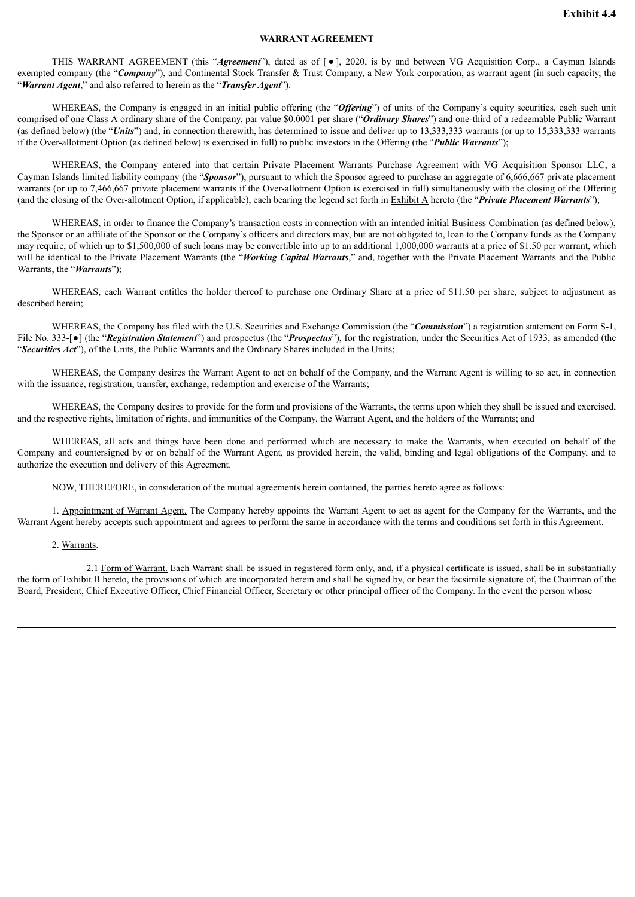## **WARRANT AGREEMENT**

<span id="page-5-0"></span>THIS WARRANT AGREEMENT (this "*Agreement*"), dated as of [ ● ], 2020, is by and between VG Acquisition Corp., a Cayman Islands exempted company (the "*Company*"), and Continental Stock Transfer & Trust Company, a New York corporation, as warrant agent (in such capacity, the "*Warrant Agent*," and also referred to herein as the "*Transfer Agent*").

WHEREAS, the Company is engaged in an initial public offering (the "*Offering*") of units of the Company's equity securities, each such unit comprised of one Class A ordinary share of the Company, par value \$0.0001 per share ("*Ordinary Shares*") and one-third of a redeemable Public Warrant (as defined below) (the "*Units*") and, in connection therewith, has determined to issue and deliver up to 13,333,333 warrants (or up to 15,333,333 warrants if the Over-allotment Option (as defined below) is exercised in full) to public investors in the Offering (the "*Public Warrants*");

WHEREAS, the Company entered into that certain Private Placement Warrants Purchase Agreement with VG Acquisition Sponsor LLC, a Cayman Islands limited liability company (the "*Sponsor*"), pursuant to which the Sponsor agreed to purchase an aggregate of 6,666,667 private placement warrants (or up to 7,466,667 private placement warrants if the Over-allotment Option is exercised in full) simultaneously with the closing of the Offering (and the closing of the Over-allotment Option, if applicable), each bearing the legend set forth in Exhibit A hereto (the "*Private Placement Warrants*");

WHEREAS, in order to finance the Company's transaction costs in connection with an intended initial Business Combination (as defined below), the Sponsor or an affiliate of the Sponsor or the Company's officers and directors may, but are not obligated to, loan to the Company funds as the Company may require, of which up to \$1,500,000 of such loans may be convertible into up to an additional 1,000,000 warrants at a price of \$1.50 per warrant, which will be identical to the Private Placement Warrants (the "*Working Capital Warrants*," and, together with the Private Placement Warrants and the Public Warrants, the "*Warrants*");

WHEREAS, each Warrant entitles the holder thereof to purchase one Ordinary Share at a price of \$11.50 per share, subject to adjustment as described herein;

WHEREAS, the Company has filed with the U.S. Securities and Exchange Commission (the "*Commission*") a registration statement on Form S-1, File No. 333-<sup>[</sup>•] (the "*Registration Statement*") and prospectus (the "*Prospectus*"), for the registration, under the Securities Act of 1933, as amended (the "*Securities Act*"), of the Units, the Public Warrants and the Ordinary Shares included in the Units;

WHEREAS, the Company desires the Warrant Agent to act on behalf of the Company, and the Warrant Agent is willing to so act, in connection with the issuance, registration, transfer, exchange, redemption and exercise of the Warrants;

WHEREAS, the Company desires to provide for the form and provisions of the Warrants, the terms upon which they shall be issued and exercised, and the respective rights, limitation of rights, and immunities of the Company, the Warrant Agent, and the holders of the Warrants; and

WHEREAS, all acts and things have been done and performed which are necessary to make the Warrants, when executed on behalf of the Company and countersigned by or on behalf of the Warrant Agent, as provided herein, the valid, binding and legal obligations of the Company, and to authorize the execution and delivery of this Agreement.

NOW, THEREFORE, in consideration of the mutual agreements herein contained, the parties hereto agree as follows:

1. Appointment of Warrant Agent. The Company hereby appoints the Warrant Agent to act as agent for the Company for the Warrants, and the Warrant Agent hereby accepts such appointment and agrees to perform the same in accordance with the terms and conditions set forth in this Agreement.

2. Warrants.

2.1 Form of Warrant. Each Warrant shall be issued in registered form only, and, if a physical certificate is issued, shall be in substantially the form of Exhibit B hereto, the provisions of which are incorporated herein and shall be signed by, or bear the facsimile signature of, the Chairman of the Board, President, Chief Executive Officer, Chief Financial Officer, Secretary or other principal officer of the Company. In the event the person whose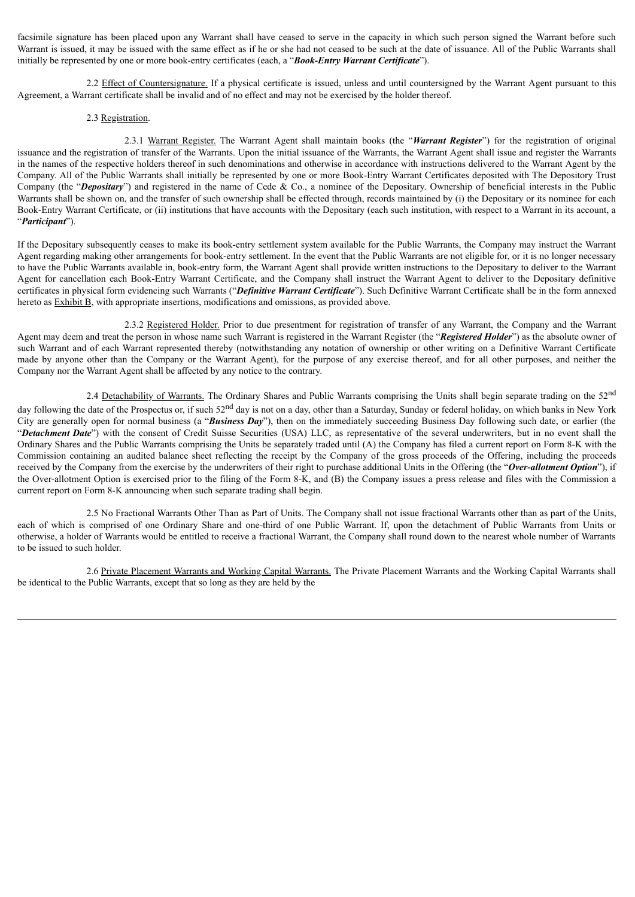facsimile signature has been placed upon any Warrant shall have ceased to serve in the capacity in which such person signed the Warrant before such Warrant is issued, it may be issued with the same effect as if he or she had not ceased to be such at the date of issuance. All of the Public Warrants shall initially be represented by one or more book-entry certificates (each, a "*Book-Entry Warrant Certificate*").

2.2 Effect of Countersignature. If a physical certificate is issued, unless and until countersigned by the Warrant Agent pursuant to this Agreement, a Warrant certificate shall be invalid and of no effect and may not be exercised by the holder thereof.

### 2.3 Registration.

2.3.1 Warrant Register. The Warrant Agent shall maintain books (the "*Warrant Register*") for the registration of original issuance and the registration of transfer of the Warrants. Upon the initial issuance of the Warrants, the Warrant Agent shall issue and register the Warrants in the names of the respective holders thereof in such denominations and otherwise in accordance with instructions delivered to the Warrant Agent by the Company. All of the Public Warrants shall initially be represented by one or more Book-Entry Warrant Certificates deposited with The Depository Trust Company (the "*Depositary*") and registered in the name of Cede & Co., a nominee of the Depositary. Ownership of beneficial interests in the Public Warrants shall be shown on, and the transfer of such ownership shall be effected through, records maintained by (i) the Depositary or its nominee for each Book-Entry Warrant Certificate, or (ii) institutions that have accounts with the Depositary (each such institution, with respect to a Warrant in its account, a "*Participant*").

If the Depositary subsequently ceases to make its book-entry settlement system available for the Public Warrants, the Company may instruct the Warrant Agent regarding making other arrangements for book-entry settlement. In the event that the Public Warrants are not eligible for, or it is no longer necessary to have the Public Warrants available in, book-entry form, the Warrant Agent shall provide written instructions to the Depositary to deliver to the Warrant Agent for cancellation each Book-Entry Warrant Certificate, and the Company shall instruct the Warrant Agent to deliver to the Depositary definitive certificates in physical form evidencing such Warrants ("*Definitive Warrant Certificate*"). Such Definitive Warrant Certificate shall be in the form annexed hereto as Exhibit B, with appropriate insertions, modifications and omissions, as provided above.

2.3.2 Registered Holder. Prior to due presentment for registration of transfer of any Warrant, the Company and the Warrant Agent may deem and treat the person in whose name such Warrant is registered in the Warrant Register (the "*Registered Holder*") as the absolute owner of such Warrant and of each Warrant represented thereby (notwithstanding any notation of ownership or other writing on a Definitive Warrant Certificate made by anyone other than the Company or the Warrant Agent), for the purpose of any exercise thereof, and for all other purposes, and neither the Company nor the Warrant Agent shall be affected by any notice to the contrary.

2.4 Detachability of Warrants. The Ordinary Shares and Public Warrants comprising the Units shall begin separate trading on the 52<sup>nd</sup> day following the date of the Prospectus or, if such 52<sup>nd</sup> day is not on a day, other than a Saturday, Sunday or federal holiday, on which banks in New York City are generally open for normal business (a "*Business Day*"), then on the immediately succeeding Business Day following such date, or earlier (the "*Detachment Date*") with the consent of Credit Suisse Securities (USA) LLC, as representative of the several underwriters, but in no event shall the Ordinary Shares and the Public Warrants comprising the Units be separately traded until (A) the Company has filed a current report on Form 8-K with the Commission containing an audited balance sheet reflecting the receipt by the Company of the gross proceeds of the Offering, including the proceeds received by the Company from the exercise by the underwriters of their right to purchase additional Units in the Offering (the "*Over-allotment Option*"), if the Over-allotment Option is exercised prior to the filing of the Form 8-K, and (B) the Company issues a press release and files with the Commission a current report on Form 8-K announcing when such separate trading shall begin.

2.5 No Fractional Warrants Other Than as Part of Units. The Company shall not issue fractional Warrants other than as part of the Units, each of which is comprised of one Ordinary Share and one-third of one Public Warrant. If, upon the detachment of Public Warrants from Units or otherwise, a holder of Warrants would be entitled to receive a fractional Warrant, the Company shall round down to the nearest whole number of Warrants to be issued to such holder.

2.6 Private Placement Warrants and Working Capital Warrants. The Private Placement Warrants and the Working Capital Warrants shall be identical to the Public Warrants, except that so long as they are held by the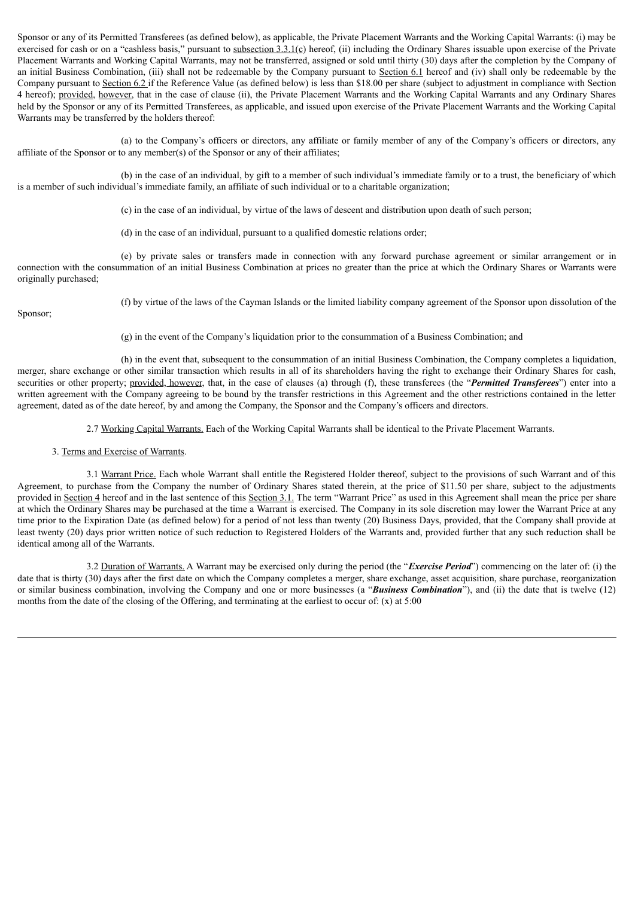Sponsor or any of its Permitted Transferees (as defined below), as applicable, the Private Placement Warrants and the Working Capital Warrants: (i) may be exercised for cash or on a "cashless basis," pursuant to subsection  $3.3.1(c)$  hereof, (ii) including the Ordinary Shares issuable upon exercise of the Private Placement Warrants and Working Capital Warrants, may not be transferred, assigned or sold until thirty (30) days after the completion by the Company of an initial Business Combination, (iii) shall not be redeemable by the Company pursuant to Section 6.1 hereof and (iv) shall only be redeemable by the Company pursuant to Section 6.2 if the Reference Value (as defined below) is less than \$18.00 per share (subject to adjustment in compliance with Section 4 hereof); provided, however, that in the case of clause (ii), the Private Placement Warrants and the Working Capital Warrants and any Ordinary Shares held by the Sponsor or any of its Permitted Transferees, as applicable, and issued upon exercise of the Private Placement Warrants and the Working Capital Warrants may be transferred by the holders thereof:

(a) to the Company's officers or directors, any affiliate or family member of any of the Company's officers or directors, any affiliate of the Sponsor or to any member(s) of the Sponsor or any of their affiliates;

(b) in the case of an individual, by gift to a member of such individual's immediate family or to a trust, the beneficiary of which is a member of such individual's immediate family, an affiliate of such individual or to a charitable organization;

(c) in the case of an individual, by virtue of the laws of descent and distribution upon death of such person;

(d) in the case of an individual, pursuant to a qualified domestic relations order;

(e) by private sales or transfers made in connection with any forward purchase agreement or similar arrangement or in connection with the consummation of an initial Business Combination at prices no greater than the price at which the Ordinary Shares or Warrants were originally purchased;

Sponsor;

(f) by virtue of the laws of the Cayman Islands or the limited liability company agreement of the Sponsor upon dissolution of the

(g) in the event of the Company's liquidation prior to the consummation of a Business Combination; and

(h) in the event that, subsequent to the consummation of an initial Business Combination, the Company completes a liquidation, merger, share exchange or other similar transaction which results in all of its shareholders having the right to exchange their Ordinary Shares for cash, securities or other property; provided, however, that, in the case of clauses (a) through (f), these transferees (the "*Permitted Transferees*") enter into a written agreement with the Company agreeing to be bound by the transfer restrictions in this Agreement and the other restrictions contained in the letter agreement, dated as of the date hereof, by and among the Company, the Sponsor and the Company's officers and directors.

2.7 Working Capital Warrants. Each of the Working Capital Warrants shall be identical to the Private Placement Warrants.

## 3. Terms and Exercise of Warrants.

3.1 Warrant Price. Each whole Warrant shall entitle the Registered Holder thereof, subject to the provisions of such Warrant and of this Agreement, to purchase from the Company the number of Ordinary Shares stated therein, at the price of \$11.50 per share, subject to the adjustments provided in Section 4 hereof and in the last sentence of this Section 3.1. The term "Warrant Price" as used in this Agreement shall mean the price per share at which the Ordinary Shares may be purchased at the time a Warrant is exercised. The Company in its sole discretion may lower the Warrant Price at any time prior to the Expiration Date (as defined below) for a period of not less than twenty (20) Business Days, provided, that the Company shall provide at least twenty (20) days prior written notice of such reduction to Registered Holders of the Warrants and, provided further that any such reduction shall be identical among all of the Warrants.

3.2 Duration of Warrants. A Warrant may be exercised only during the period (the "*Exercise Period*") commencing on the later of: (i) the date that is thirty (30) days after the first date on which the Company completes a merger, share exchange, asset acquisition, share purchase, reorganization or similar business combination, involving the Company and one or more businesses (a "*Business Combination*"), and (ii) the date that is twelve (12) months from the date of the closing of the Offering, and terminating at the earliest to occur of: (x) at 5:00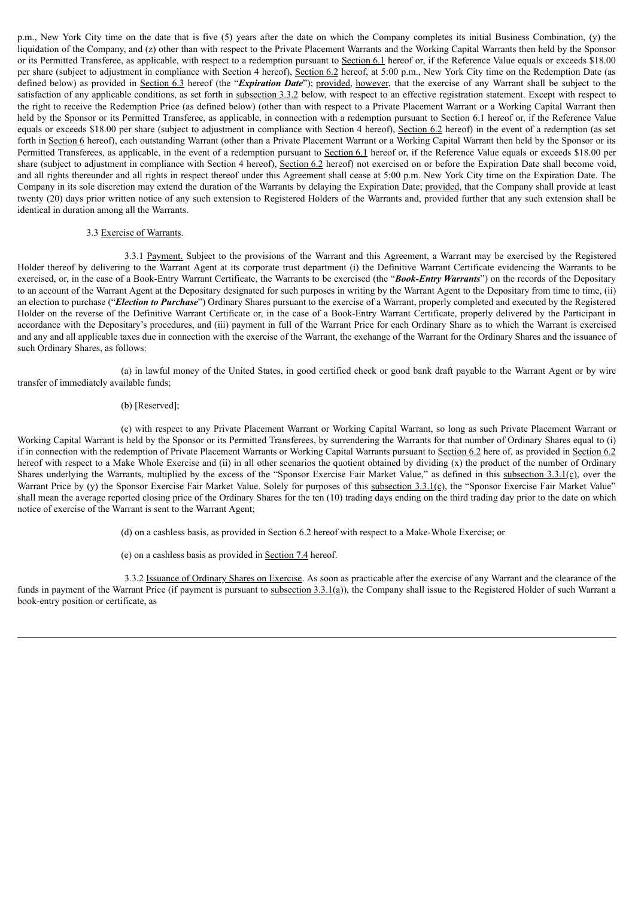p.m., New York City time on the date that is five (5) years after the date on which the Company completes its initial Business Combination, (y) the liquidation of the Company, and (z) other than with respect to the Private Placement Warrants and the Working Capital Warrants then held by the Sponsor or its Permitted Transferee, as applicable, with respect to a redemption pursuant to Section 6.1 hereof or, if the Reference Value equals or exceeds \$18.00 per share (subject to adjustment in compliance with Section 4 hereof), Section 6.2 hereof, at 5:00 p.m., New York City time on the Redemption Date (as defined below) as provided in Section 6.3 hereof (the "*Expiration Date*"); provided, however, that the exercise of any Warrant shall be subject to the satisfaction of any applicable conditions, as set forth in subsection 3.3.2 below, with respect to an effective registration statement. Except with respect to the right to receive the Redemption Price (as defined below) (other than with respect to a Private Placement Warrant or a Working Capital Warrant then held by the Sponsor or its Permitted Transferee, as applicable, in connection with a redemption pursuant to Section 6.1 hereof or, if the Reference Value equals or exceeds \$18.00 per share (subject to adjustment in compliance with Section 4 hereof), Section 6.2 hereof) in the event of a redemption (as set forth in Section 6 hereof), each outstanding Warrant (other than a Private Placement Warrant or a Working Capital Warrant then held by the Sponsor or its Permitted Transferees, as applicable, in the event of a redemption pursuant to Section 6.1 hereof or, if the Reference Value equals or exceeds \$18.00 per share (subject to adjustment in compliance with Section 4 hereof), Section 6.2 hereof) not exercised on or before the Expiration Date shall become void, and all rights thereunder and all rights in respect thereof under this Agreement shall cease at 5:00 p.m. New York City time on the Expiration Date. The Company in its sole discretion may extend the duration of the Warrants by delaying the Expiration Date; provided, that the Company shall provide at least twenty (20) days prior written notice of any such extension to Registered Holders of the Warrants and, provided further that any such extension shall be identical in duration among all the Warrants.

### 3.3 Exercise of Warrants.

3.3.1 Payment. Subject to the provisions of the Warrant and this Agreement, a Warrant may be exercised by the Registered Holder thereof by delivering to the Warrant Agent at its corporate trust department (i) the Definitive Warrant Certificate evidencing the Warrants to be exercised, or, in the case of a Book-Entry Warrant Certificate, the Warrants to be exercised (the "*Book-Entry Warrants*") on the records of the Depositary to an account of the Warrant Agent at the Depositary designated for such purposes in writing by the Warrant Agent to the Depositary from time to time, (ii) an election to purchase ("*Election to Purchase*") Ordinary Shares pursuant to the exercise of a Warrant, properly completed and executed by the Registered Holder on the reverse of the Definitive Warrant Certificate or, in the case of a Book-Entry Warrant Certificate, properly delivered by the Participant in accordance with the Depositary's procedures, and (iii) payment in full of the Warrant Price for each Ordinary Share as to which the Warrant is exercised and any and all applicable taxes due in connection with the exercise of the Warrant, the exchange of the Warrant for the Ordinary Shares and the issuance of such Ordinary Shares, as follows:

(a) in lawful money of the United States, in good certified check or good bank draft payable to the Warrant Agent or by wire transfer of immediately available funds;

#### (b) [Reserved];

(c) with respect to any Private Placement Warrant or Working Capital Warrant, so long as such Private Placement Warrant or Working Capital Warrant is held by the Sponsor or its Permitted Transferees, by surrendering the Warrants for that number of Ordinary Shares equal to (i) if in connection with the redemption of Private Placement Warrants or Working Capital Warrants pursuant to Section 6.2 here of, as provided in Section 6.2 hereof with respect to a Make Whole Exercise and (ii) in all other scenarios the quotient obtained by dividing (x) the product of the number of Ordinary Shares underlying the Warrants, multiplied by the excess of the "Sponsor Exercise Fair Market Value," as defined in this subsection  $3.3.1(c)$ , over the Warrant Price by (y) the Sponsor Exercise Fair Market Value. Solely for purposes of this subsection 3.3.1(c), the "Sponsor Exercise Fair Market Value" shall mean the average reported closing price of the Ordinary Shares for the ten (10) trading days ending on the third trading day prior to the date on which notice of exercise of the Warrant is sent to the Warrant Agent;

(d) on a cashless basis, as provided in Section 6.2 hereof with respect to a Make-Whole Exercise; or

(e) on a cashless basis as provided in Section 7.4 hereof.

3.3.2 Issuance of Ordinary Shares on Exercise. As soon as practicable after the exercise of any Warrant and the clearance of the funds in payment of the Warrant Price (if payment is pursuant to subsection 3.3.1(a)), the Company shall issue to the Registered Holder of such Warrant a book-entry position or certificate, as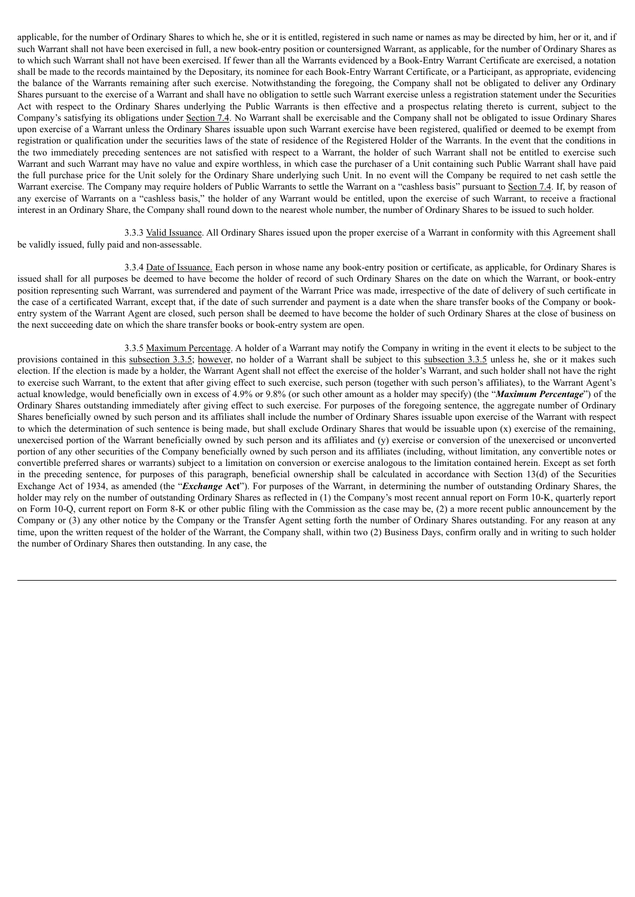applicable, for the number of Ordinary Shares to which he, she or it is entitled, registered in such name or names as may be directed by him, her or it, and if such Warrant shall not have been exercised in full, a new book-entry position or countersigned Warrant, as applicable, for the number of Ordinary Shares as to which such Warrant shall not have been exercised. If fewer than all the Warrants evidenced by a Book-Entry Warrant Certificate are exercised, a notation shall be made to the records maintained by the Depositary, its nominee for each Book-Entry Warrant Certificate, or a Participant, as appropriate, evidencing the balance of the Warrants remaining after such exercise. Notwithstanding the foregoing, the Company shall not be obligated to deliver any Ordinary Shares pursuant to the exercise of a Warrant and shall have no obligation to settle such Warrant exercise unless a registration statement under the Securities Act with respect to the Ordinary Shares underlying the Public Warrants is then effective and a prospectus relating thereto is current, subject to the Company's satisfying its obligations under Section 7.4. No Warrant shall be exercisable and the Company shall not be obligated to issue Ordinary Shares upon exercise of a Warrant unless the Ordinary Shares issuable upon such Warrant exercise have been registered, qualified or deemed to be exempt from registration or qualification under the securities laws of the state of residence of the Registered Holder of the Warrants. In the event that the conditions in the two immediately preceding sentences are not satisfied with respect to a Warrant, the holder of such Warrant shall not be entitled to exercise such Warrant and such Warrant may have no value and expire worthless, in which case the purchaser of a Unit containing such Public Warrant shall have paid the full purchase price for the Unit solely for the Ordinary Share underlying such Unit. In no event will the Company be required to net cash settle the Warrant exercise. The Company may require holders of Public Warrants to settle the Warrant on a "cashless basis" pursuant to Section 7.4. If, by reason of any exercise of Warrants on a "cashless basis," the holder of any Warrant would be entitled, upon the exercise of such Warrant, to receive a fractional interest in an Ordinary Share, the Company shall round down to the nearest whole number, the number of Ordinary Shares to be issued to such holder.

3.3.3 Valid Issuance. All Ordinary Shares issued upon the proper exercise of a Warrant in conformity with this Agreement shall be validly issued, fully paid and non-assessable.

3.3.4 Date of Issuance. Each person in whose name any book-entry position or certificate, as applicable, for Ordinary Shares is issued shall for all purposes be deemed to have become the holder of record of such Ordinary Shares on the date on which the Warrant, or book-entry position representing such Warrant, was surrendered and payment of the Warrant Price was made, irrespective of the date of delivery of such certificate in the case of a certificated Warrant, except that, if the date of such surrender and payment is a date when the share transfer books of the Company or bookentry system of the Warrant Agent are closed, such person shall be deemed to have become the holder of such Ordinary Shares at the close of business on the next succeeding date on which the share transfer books or book-entry system are open.

3.3.5 Maximum Percentage. A holder of a Warrant may notify the Company in writing in the event it elects to be subject to the provisions contained in this subsection 3.3.5; however, no holder of a Warrant shall be subject to this subsection 3.3.5 unless he, she or it makes such election. If the election is made by a holder, the Warrant Agent shall not effect the exercise of the holder's Warrant, and such holder shall not have the right to exercise such Warrant, to the extent that after giving effect to such exercise, such person (together with such person's affiliates), to the Warrant Agent's actual knowledge, would beneficially own in excess of 4.9% or 9.8% (or such other amount as a holder may specify) (the "*Maximum Percentage*") of the Ordinary Shares outstanding immediately after giving effect to such exercise. For purposes of the foregoing sentence, the aggregate number of Ordinary Shares beneficially owned by such person and its affiliates shall include the number of Ordinary Shares issuable upon exercise of the Warrant with respect to which the determination of such sentence is being made, but shall exclude Ordinary Shares that would be issuable upon (x) exercise of the remaining, unexercised portion of the Warrant beneficially owned by such person and its affiliates and (y) exercise or conversion of the unexercised or unconverted portion of any other securities of the Company beneficially owned by such person and its affiliates (including, without limitation, any convertible notes or convertible preferred shares or warrants) subject to a limitation on conversion or exercise analogous to the limitation contained herein. Except as set forth in the preceding sentence, for purposes of this paragraph, beneficial ownership shall be calculated in accordance with Section 13(d) of the Securities Exchange Act of 1934, as amended (the "*Exchange* **Act**"). For purposes of the Warrant, in determining the number of outstanding Ordinary Shares, the holder may rely on the number of outstanding Ordinary Shares as reflected in (1) the Company's most recent annual report on Form 10-K, quarterly report on Form 10-Q, current report on Form 8-K or other public filing with the Commission as the case may be, (2) a more recent public announcement by the Company or (3) any other notice by the Company or the Transfer Agent setting forth the number of Ordinary Shares outstanding. For any reason at any time, upon the written request of the holder of the Warrant, the Company shall, within two (2) Business Days, confirm orally and in writing to such holder the number of Ordinary Shares then outstanding. In any case, the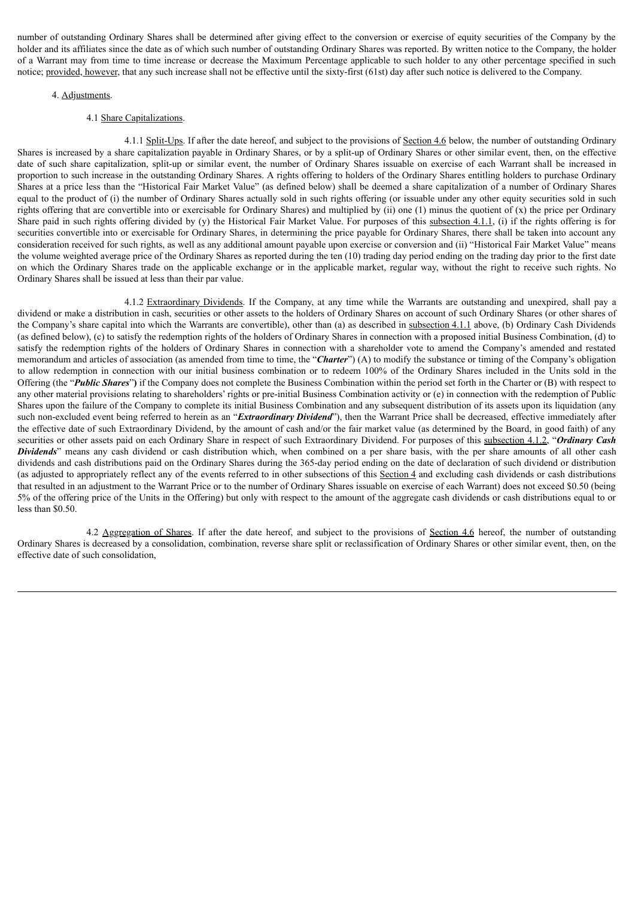number of outstanding Ordinary Shares shall be determined after giving effect to the conversion or exercise of equity securities of the Company by the holder and its affiliates since the date as of which such number of outstanding Ordinary Shares was reported. By written notice to the Company, the holder of a Warrant may from time to time increase or decrease the Maximum Percentage applicable to such holder to any other percentage specified in such notice; provided, however, that any such increase shall not be effective until the sixty-first (61st) day after such notice is delivered to the Company.

### 4. Adjustments.

#### 4.1 Share Capitalizations.

4.1.1 Split-Ups. If after the date hereof, and subject to the provisions of Section 4.6 below, the number of outstanding Ordinary Shares is increased by a share capitalization payable in Ordinary Shares, or by a split-up of Ordinary Shares or other similar event, then, on the effective date of such share capitalization, split-up or similar event, the number of Ordinary Shares issuable on exercise of each Warrant shall be increased in proportion to such increase in the outstanding Ordinary Shares. A rights offering to holders of the Ordinary Shares entitling holders to purchase Ordinary Shares at a price less than the "Historical Fair Market Value" (as defined below) shall be deemed a share capitalization of a number of Ordinary Shares equal to the product of (i) the number of Ordinary Shares actually sold in such rights offering (or issuable under any other equity securities sold in such rights offering that are convertible into or exercisable for Ordinary Shares) and multiplied by (ii) one (1) minus the quotient of (x) the price per Ordinary Share paid in such rights offering divided by (y) the Historical Fair Market Value. For purposes of this subsection 4.1.1, (i) if the rights offering is for securities convertible into or exercisable for Ordinary Shares, in determining the price payable for Ordinary Shares, there shall be taken into account any consideration received for such rights, as well as any additional amount payable upon exercise or conversion and (ii) "Historical Fair Market Value" means the volume weighted average price of the Ordinary Shares as reported during the ten (10) trading day period ending on the trading day prior to the first date on which the Ordinary Shares trade on the applicable exchange or in the applicable market, regular way, without the right to receive such rights. No Ordinary Shares shall be issued at less than their par value.

4.1.2 Extraordinary Dividends. If the Company, at any time while the Warrants are outstanding and unexpired, shall pay a dividend or make a distribution in cash, securities or other assets to the holders of Ordinary Shares on account of such Ordinary Shares (or other shares of the Company's share capital into which the Warrants are convertible), other than (a) as described in subsection 4.1.1 above, (b) Ordinary Cash Dividends (as defined below), (c) to satisfy the redemption rights of the holders of Ordinary Shares in connection with a proposed initial Business Combination, (d) to satisfy the redemption rights of the holders of Ordinary Shares in connection with a shareholder vote to amend the Company's amended and restated memorandum and articles of association (as amended from time to time, the "*Charter*") (A) to modify the substance or timing of the Company's obligation to allow redemption in connection with our initial business combination or to redeem 100% of the Ordinary Shares included in the Units sold in the Offering (the "*Public Shares*"**)** if the Company does not complete the Business Combination within the period set forth in the Charter or (B) with respect to any other material provisions relating to shareholders' rights or pre-initial Business Combination activity or (e) in connection with the redemption of Public Shares upon the failure of the Company to complete its initial Business Combination and any subsequent distribution of its assets upon its liquidation (any such non-excluded event being referred to herein as an "*Extraordinary Dividend*"), then the Warrant Price shall be decreased, effective immediately after the effective date of such Extraordinary Dividend, by the amount of cash and/or the fair market value (as determined by the Board, in good faith) of any securities or other assets paid on each Ordinary Share in respect of such Extraordinary Dividend. For purposes of this subsection 4.1.2, "*Ordinary Cash Dividends*" means any cash dividend or cash distribution which, when combined on a per share basis, with the per share amounts of all other cash dividends and cash distributions paid on the Ordinary Shares during the 365-day period ending on the date of declaration of such dividend or distribution (as adjusted to appropriately reflect any of the events referred to in other subsections of this Section 4 and excluding cash dividends or cash distributions that resulted in an adjustment to the Warrant Price or to the number of Ordinary Shares issuable on exercise of each Warrant) does not exceed \$0.50 (being 5% of the offering price of the Units in the Offering) but only with respect to the amount of the aggregate cash dividends or cash distributions equal to or less than \$0.50.

4.2 Aggregation of Shares. If after the date hereof, and subject to the provisions of Section 4.6 hereof, the number of outstanding Ordinary Shares is decreased by a consolidation, combination, reverse share split or reclassification of Ordinary Shares or other similar event, then, on the effective date of such consolidation,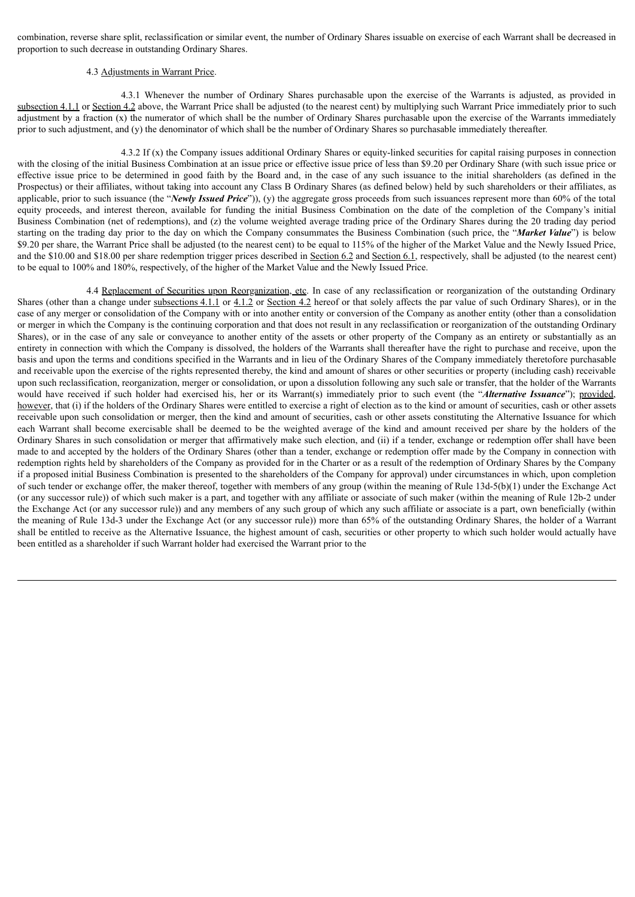combination, reverse share split, reclassification or similar event, the number of Ordinary Shares issuable on exercise of each Warrant shall be decreased in proportion to such decrease in outstanding Ordinary Shares.

### 4.3 Adjustments in Warrant Price.

4.3.1 Whenever the number of Ordinary Shares purchasable upon the exercise of the Warrants is adjusted, as provided in subsection 4.1.1 or Section 4.2 above, the Warrant Price shall be adjusted (to the nearest cent) by multiplying such Warrant Price immediately prior to such adjustment by a fraction (x) the numerator of which shall be the number of Ordinary Shares purchasable upon the exercise of the Warrants immediately prior to such adjustment, and (y) the denominator of which shall be the number of Ordinary Shares so purchasable immediately thereafter.

4.3.2 If (x) the Company issues additional Ordinary Shares or equity-linked securities for capital raising purposes in connection with the closing of the initial Business Combination at an issue price or effective issue price of less than \$9.20 per Ordinary Share (with such issue price or effective issue price to be determined in good faith by the Board and, in the case of any such issuance to the initial shareholders (as defined in the Prospectus) or their affiliates, without taking into account any Class B Ordinary Shares (as defined below) held by such shareholders or their affiliates, as applicable, prior to such issuance (the "*Newly Issued Price*")), (y) the aggregate gross proceeds from such issuances represent more than 60% of the total equity proceeds, and interest thereon, available for funding the initial Business Combination on the date of the completion of the Company's initial Business Combination (net of redemptions), and (z) the volume weighted average trading price of the Ordinary Shares during the 20 trading day period starting on the trading day prior to the day on which the Company consummates the Business Combination (such price, the "*Market Value*") is below \$9.20 per share, the Warrant Price shall be adjusted (to the nearest cent) to be equal to 115% of the higher of the Market Value and the Newly Issued Price, and the \$10.00 and \$18.00 per share redemption trigger prices described in Section 6.2 and Section 6.1, respectively, shall be adjusted (to the nearest cent) to be equal to 100% and 180%, respectively, of the higher of the Market Value and the Newly Issued Price.

4.4 Replacement of Securities upon Reorganization, etc. In case of any reclassification or reorganization of the outstanding Ordinary Shares (other than a change under subsections 4.1.1 or 4.1.2 or Section 4.2 hereof or that solely affects the par value of such Ordinary Shares), or in the case of any merger or consolidation of the Company with or into another entity or conversion of the Company as another entity (other than a consolidation or merger in which the Company is the continuing corporation and that does not result in any reclassification or reorganization of the outstanding Ordinary Shares), or in the case of any sale or conveyance to another entity of the assets or other property of the Company as an entirety or substantially as an entirety in connection with which the Company is dissolved, the holders of the Warrants shall thereafter have the right to purchase and receive, upon the basis and upon the terms and conditions specified in the Warrants and in lieu of the Ordinary Shares of the Company immediately theretofore purchasable and receivable upon the exercise of the rights represented thereby, the kind and amount of shares or other securities or property (including cash) receivable upon such reclassification, reorganization, merger or consolidation, or upon a dissolution following any such sale or transfer, that the holder of the Warrants would have received if such holder had exercised his, her or its Warrant(s) immediately prior to such event (the "*Alternative Issuance*"); provided, however, that (i) if the holders of the Ordinary Shares were entitled to exercise a right of election as to the kind or amount of securities, cash or other assets receivable upon such consolidation or merger, then the kind and amount of securities, cash or other assets constituting the Alternative Issuance for which each Warrant shall become exercisable shall be deemed to be the weighted average of the kind and amount received per share by the holders of the Ordinary Shares in such consolidation or merger that affirmatively make such election, and (ii) if a tender, exchange or redemption offer shall have been made to and accepted by the holders of the Ordinary Shares (other than a tender, exchange or redemption offer made by the Company in connection with redemption rights held by shareholders of the Company as provided for in the Charter or as a result of the redemption of Ordinary Shares by the Company if a proposed initial Business Combination is presented to the shareholders of the Company for approval) under circumstances in which, upon completion of such tender or exchange offer, the maker thereof, together with members of any group (within the meaning of Rule 13d-5(b)(1) under the Exchange Act (or any successor rule)) of which such maker is a part, and together with any affiliate or associate of such maker (within the meaning of Rule 12b-2 under the Exchange Act (or any successor rule)) and any members of any such group of which any such affiliate or associate is a part, own beneficially (within the meaning of Rule 13d-3 under the Exchange Act (or any successor rule)) more than 65% of the outstanding Ordinary Shares, the holder of a Warrant shall be entitled to receive as the Alternative Issuance, the highest amount of cash, securities or other property to which such holder would actually have been entitled as a shareholder if such Warrant holder had exercised the Warrant prior to the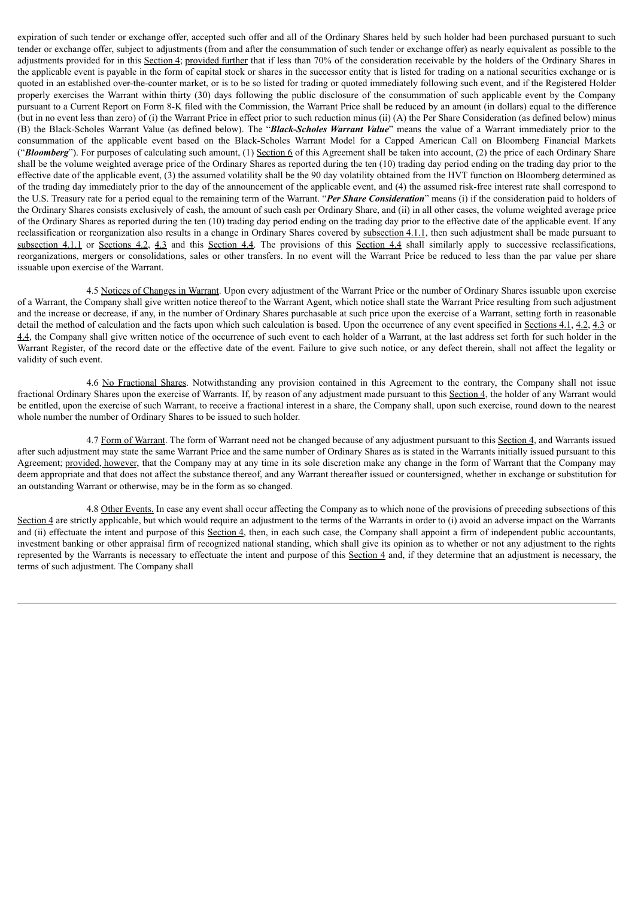expiration of such tender or exchange offer, accepted such offer and all of the Ordinary Shares held by such holder had been purchased pursuant to such tender or exchange offer, subject to adjustments (from and after the consummation of such tender or exchange offer) as nearly equivalent as possible to the adjustments provided for in this Section 4; provided further that if less than 70% of the consideration receivable by the holders of the Ordinary Shares in the applicable event is payable in the form of capital stock or shares in the successor entity that is listed for trading on a national securities exchange or is quoted in an established over-the-counter market, or is to be so listed for trading or quoted immediately following such event, and if the Registered Holder properly exercises the Warrant within thirty (30) days following the public disclosure of the consummation of such applicable event by the Company pursuant to a Current Report on Form 8-K filed with the Commission, the Warrant Price shall be reduced by an amount (in dollars) equal to the difference (but in no event less than zero) of (i) the Warrant Price in effect prior to such reduction minus (ii) (A) the Per Share Consideration (as defined below) minus (B) the Black-Scholes Warrant Value (as defined below). The "*Black-Scholes Warrant Value*" means the value of a Warrant immediately prior to the consummation of the applicable event based on the Black-Scholes Warrant Model for a Capped American Call on Bloomberg Financial Markets ("*Bloomberg*"). For purposes of calculating such amount, (1) Section 6 of this Agreement shall be taken into account, (2) the price of each Ordinary Share shall be the volume weighted average price of the Ordinary Shares as reported during the ten (10) trading day period ending on the trading day prior to the effective date of the applicable event, (3) the assumed volatility shall be the 90 day volatility obtained from the HVT function on Bloomberg determined as of the trading day immediately prior to the day of the announcement of the applicable event, and (4) the assumed risk-free interest rate shall correspond to the U.S. Treasury rate for a period equal to the remaining term of the Warrant. "*Per Share Consideration*" means (i) if the consideration paid to holders of the Ordinary Shares consists exclusively of cash, the amount of such cash per Ordinary Share, and (ii) in all other cases, the volume weighted average price of the Ordinary Shares as reported during the ten (10) trading day period ending on the trading day prior to the effective date of the applicable event. If any reclassification or reorganization also results in a change in Ordinary Shares covered by subsection 4.1.1, then such adjustment shall be made pursuant to subsection 4.1.1 or Sections 4.2, 4.3 and this Section 4.4. The provisions of this Section 4.4 shall similarly apply to successive reclassifications, reorganizations, mergers or consolidations, sales or other transfers. In no event will the Warrant Price be reduced to less than the par value per share issuable upon exercise of the Warrant.

4.5 Notices of Changes in Warrant. Upon every adjustment of the Warrant Price or the number of Ordinary Shares issuable upon exercise of a Warrant, the Company shall give written notice thereof to the Warrant Agent, which notice shall state the Warrant Price resulting from such adjustment and the increase or decrease, if any, in the number of Ordinary Shares purchasable at such price upon the exercise of a Warrant, setting forth in reasonable detail the method of calculation and the facts upon which such calculation is based. Upon the occurrence of any event specified in Sections 4.1, 4.2, 4.3 or 4.4, the Company shall give written notice of the occurrence of such event to each holder of a Warrant, at the last address set forth for such holder in the Warrant Register, of the record date or the effective date of the event. Failure to give such notice, or any defect therein, shall not affect the legality or validity of such event.

4.6 No Fractional Shares. Notwithstanding any provision contained in this Agreement to the contrary, the Company shall not issue fractional Ordinary Shares upon the exercise of Warrants. If, by reason of any adjustment made pursuant to this Section 4, the holder of any Warrant would be entitled, upon the exercise of such Warrant, to receive a fractional interest in a share, the Company shall, upon such exercise, round down to the nearest whole number the number of Ordinary Shares to be issued to such holder.

4.7 Form of Warrant. The form of Warrant need not be changed because of any adjustment pursuant to this Section 4, and Warrants issued after such adjustment may state the same Warrant Price and the same number of Ordinary Shares as is stated in the Warrants initially issued pursuant to this Agreement; provided, however, that the Company may at any time in its sole discretion make any change in the form of Warrant that the Company may deem appropriate and that does not affect the substance thereof, and any Warrant thereafter issued or countersigned, whether in exchange or substitution for an outstanding Warrant or otherwise, may be in the form as so changed.

4.8 Other Events. In case any event shall occur affecting the Company as to which none of the provisions of preceding subsections of this Section 4 are strictly applicable, but which would require an adjustment to the terms of the Warrants in order to (i) avoid an adverse impact on the Warrants and (ii) effectuate the intent and purpose of this Section 4, then, in each such case, the Company shall appoint a firm of independent public accountants, investment banking or other appraisal firm of recognized national standing, which shall give its opinion as to whether or not any adjustment to the rights represented by the Warrants is necessary to effectuate the intent and purpose of this Section 4 and, if they determine that an adjustment is necessary, the terms of such adjustment. The Company shall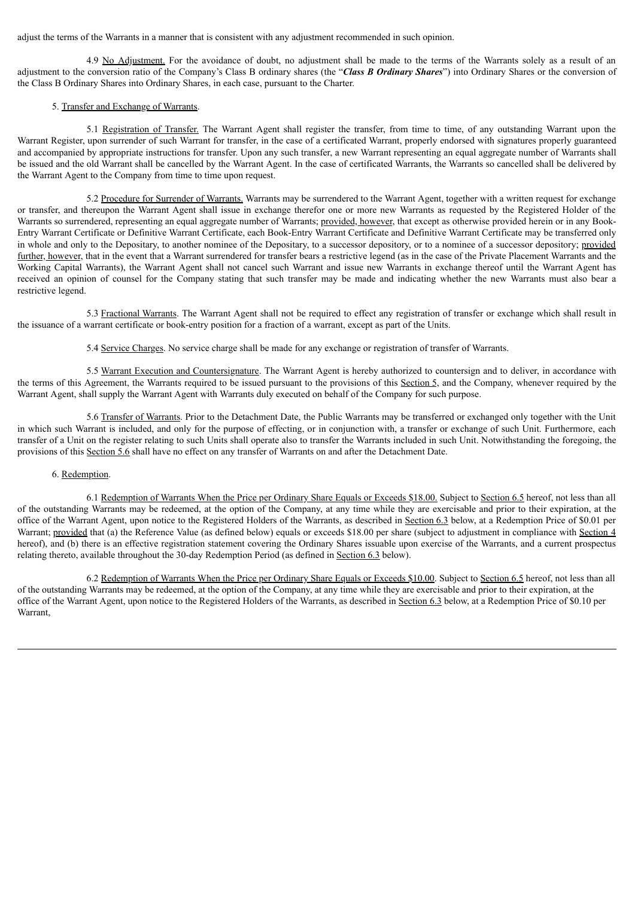adjust the terms of the Warrants in a manner that is consistent with any adjustment recommended in such opinion.

4.9 No Adjustment. For the avoidance of doubt, no adjustment shall be made to the terms of the Warrants solely as a result of an adjustment to the conversion ratio of the Company's Class B ordinary shares (the "*Class B Ordinary Shares*") into Ordinary Shares or the conversion of the Class B Ordinary Shares into Ordinary Shares, in each case, pursuant to the Charter.

## 5. Transfer and Exchange of Warrants.

5.1 Registration of Transfer. The Warrant Agent shall register the transfer, from time to time, of any outstanding Warrant upon the Warrant Register, upon surrender of such Warrant for transfer, in the case of a certificated Warrant, properly endorsed with signatures properly guaranteed and accompanied by appropriate instructions for transfer. Upon any such transfer, a new Warrant representing an equal aggregate number of Warrants shall be issued and the old Warrant shall be cancelled by the Warrant Agent. In the case of certificated Warrants, the Warrants so cancelled shall be delivered by the Warrant Agent to the Company from time to time upon request.

5.2 Procedure for Surrender of Warrants. Warrants may be surrendered to the Warrant Agent, together with a written request for exchange or transfer, and thereupon the Warrant Agent shall issue in exchange therefor one or more new Warrants as requested by the Registered Holder of the Warrants so surrendered, representing an equal aggregate number of Warrants; provided, however, that except as otherwise provided herein or in any Book-Entry Warrant Certificate or Definitive Warrant Certificate, each Book-Entry Warrant Certificate and Definitive Warrant Certificate may be transferred only in whole and only to the Depositary, to another nominee of the Depositary, to a successor depository, or to a nominee of a successor depository; provided further, however, that in the event that a Warrant surrendered for transfer bears a restrictive legend (as in the case of the Private Placement Warrants and the Working Capital Warrants), the Warrant Agent shall not cancel such Warrant and issue new Warrants in exchange thereof until the Warrant Agent has received an opinion of counsel for the Company stating that such transfer may be made and indicating whether the new Warrants must also bear a restrictive legend.

5.3 Fractional Warrants. The Warrant Agent shall not be required to effect any registration of transfer or exchange which shall result in the issuance of a warrant certificate or book-entry position for a fraction of a warrant, except as part of the Units.

5.4 Service Charges. No service charge shall be made for any exchange or registration of transfer of Warrants.

5.5 Warrant Execution and Countersignature. The Warrant Agent is hereby authorized to countersign and to deliver, in accordance with the terms of this Agreement, the Warrants required to be issued pursuant to the provisions of this Section 5, and the Company, whenever required by the Warrant Agent, shall supply the Warrant Agent with Warrants duly executed on behalf of the Company for such purpose.

5.6 Transfer of Warrants. Prior to the Detachment Date, the Public Warrants may be transferred or exchanged only together with the Unit in which such Warrant is included, and only for the purpose of effecting, or in conjunction with, a transfer or exchange of such Unit. Furthermore, each transfer of a Unit on the register relating to such Units shall operate also to transfer the Warrants included in such Unit. Notwithstanding the foregoing, the provisions of this Section 5.6 shall have no effect on any transfer of Warrants on and after the Detachment Date.

## 6. Redemption.

6.1 Redemption of Warrants When the Price per Ordinary Share Equals or Exceeds \$18.00. Subject to Section 6.5 hereof, not less than all of the outstanding Warrants may be redeemed, at the option of the Company, at any time while they are exercisable and prior to their expiration, at the office of the Warrant Agent, upon notice to the Registered Holders of the Warrants, as described in Section 6.3 below, at a Redemption Price of \$0.01 per Warrant; provided that (a) the Reference Value (as defined below) equals or exceeds \$18.00 per share (subject to adjustment in compliance with Section 4 hereof), and (b) there is an effective registration statement covering the Ordinary Shares issuable upon exercise of the Warrants, and a current prospectus relating thereto, available throughout the 30-day Redemption Period (as defined in Section 6.3 below).

6.2 Redemption of Warrants When the Price per Ordinary Share Equals or Exceeds \$10.00. Subject to Section 6.5 hereof, not less than all of the outstanding Warrants may be redeemed, at the option of the Company, at any time while they are exercisable and prior to their expiration, at the office of the Warrant Agent, upon notice to the Registered Holders of the Warrants, as described in Section 6.3 below, at a Redemption Price of \$0.10 per Warrant,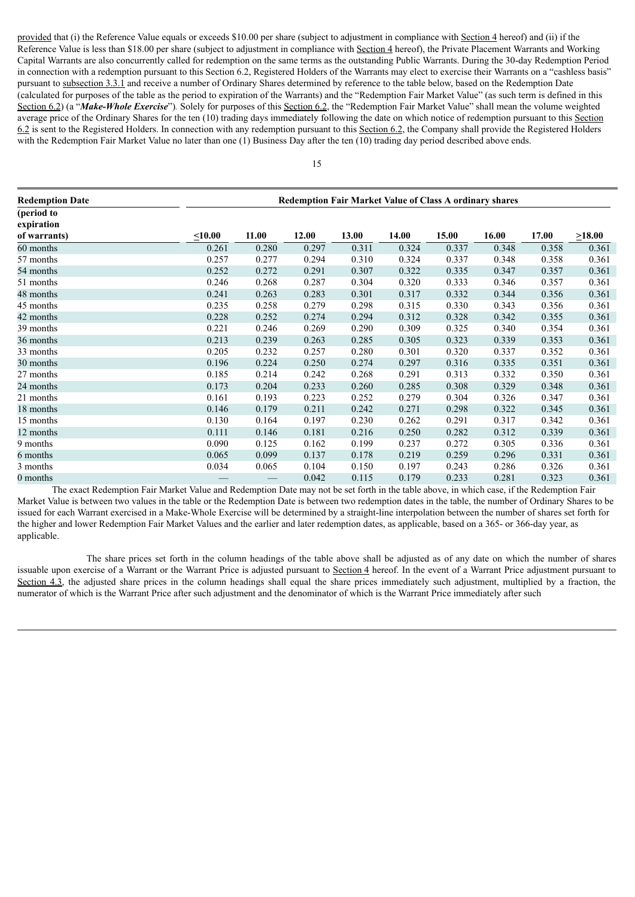provided that (i) the Reference Value equals or exceeds \$10.00 per share (subject to adjustment in compliance with Section 4 hereof) and (ii) if the Reference Value is less than \$18.00 per share (subject to adjustment in compliance with Section 4 hereof), the Private Placement Warrants and Working Capital Warrants are also concurrently called for redemption on the same terms as the outstanding Public Warrants. During the 30-day Redemption Period in connection with a redemption pursuant to this Section 6.2, Registered Holders of the Warrants may elect to exercise their Warrants on a "cashless basis" pursuant to subsection 3.3.1 and receive a number of Ordinary Shares determined by reference to the table below, based on the Redemption Date (calculated for purposes of the table as the period to expiration of the Warrants) and the "Redemption Fair Market Value" (as such term is defined in this Section 6.2) (a "*Make-Whole Exercise*")*.* Solely for purposes of this Section 6.2, the "Redemption Fair Market Value" shall mean the volume weighted average price of the Ordinary Shares for the ten (10) trading days immediately following the date on which notice of redemption pursuant to this Section 6.2 is sent to the Registered Holders. In connection with any redemption pursuant to this Section 6.2, the Company shall provide the Registered Holders with the Redemption Fair Market Value no later than one (1) Business Day after the ten (10) trading day period described above ends.

| <b>Redemption Date</b>   |              | <b>Redemption Fair Market Value of Class A ordinary shares</b> |       |       |       |       |       |       |              |
|--------------------------|--------------|----------------------------------------------------------------|-------|-------|-------|-------|-------|-------|--------------|
| (period to<br>expiration |              |                                                                |       |       |       |       |       |       |              |
| of warrants)             | $\leq 10.00$ | 11.00                                                          | 12.00 | 13.00 | 14.00 | 15.00 | 16.00 | 17.00 | $\geq 18.00$ |
| 60 months                | 0.261        | 0.280                                                          | 0.297 | 0.311 | 0.324 | 0.337 | 0.348 | 0.358 | 0.361        |
| 57 months                | 0.257        | 0.277                                                          | 0.294 | 0.310 | 0.324 | 0.337 | 0.348 | 0.358 | 0.361        |
| 54 months                | 0.252        | 0.272                                                          | 0.291 | 0.307 | 0.322 | 0.335 | 0.347 | 0.357 | 0.361        |
| 51 months                | 0.246        | 0.268                                                          | 0.287 | 0.304 | 0.320 | 0.333 | 0.346 | 0.357 | 0.361        |
| 48 months                | 0.241        | 0.263                                                          | 0.283 | 0.301 | 0.317 | 0.332 | 0.344 | 0.356 | 0.361        |
| 45 months                | 0.235        | 0.258                                                          | 0.279 | 0.298 | 0.315 | 0.330 | 0.343 | 0.356 | 0.361        |
| 42 months                | 0.228        | 0.252                                                          | 0.274 | 0.294 | 0.312 | 0.328 | 0.342 | 0.355 | 0.361        |
| 39 months                | 0.221        | 0.246                                                          | 0.269 | 0.290 | 0.309 | 0.325 | 0.340 | 0.354 | 0.361        |
| 36 months                | 0.213        | 0.239                                                          | 0.263 | 0.285 | 0.305 | 0.323 | 0.339 | 0.353 | 0.361        |
| 33 months                | 0.205        | 0.232                                                          | 0.257 | 0.280 | 0.301 | 0.320 | 0.337 | 0.352 | 0.361        |
| 30 months                | 0.196        | 0.224                                                          | 0.250 | 0.274 | 0.297 | 0.316 | 0.335 | 0.351 | 0.361        |
| 27 months                | 0.185        | 0.214                                                          | 0.242 | 0.268 | 0.291 | 0.313 | 0.332 | 0.350 | 0.361        |
| 24 months                | 0.173        | 0.204                                                          | 0.233 | 0.260 | 0.285 | 0.308 | 0.329 | 0.348 | 0.361        |
| 21 months                | 0.161        | 0.193                                                          | 0.223 | 0.252 | 0.279 | 0.304 | 0.326 | 0.347 | 0.361        |
| 18 months                | 0.146        | 0.179                                                          | 0.211 | 0.242 | 0.271 | 0.298 | 0.322 | 0.345 | 0.361        |
| 15 months                | 0.130        | 0.164                                                          | 0.197 | 0.230 | 0.262 | 0.291 | 0.317 | 0.342 | 0.361        |
| 12 months                | 0.111        | 0.146                                                          | 0.181 | 0.216 | 0.250 | 0.282 | 0.312 | 0.339 | 0.361        |
| 9 months                 | 0.090        | 0.125                                                          | 0.162 | 0.199 | 0.237 | 0.272 | 0.305 | 0.336 | 0.361        |
| 6 months                 | 0.065        | 0.099                                                          | 0.137 | 0.178 | 0.219 | 0.259 | 0.296 | 0.331 | 0.361        |
| 3 months                 | 0.034        | 0.065                                                          | 0.104 | 0.150 | 0.197 | 0.243 | 0.286 | 0.326 | 0.361        |
| 0 months                 |              |                                                                | 0.042 | 0.115 | 0.179 | 0.233 | 0.281 | 0.323 | 0.361        |

The exact Redemption Fair Market Value and Redemption Date may not be set forth in the table above, in which case, if the Redemption Fair Market Value is between two values in the table or the Redemption Date is between two redemption dates in the table, the number of Ordinary Shares to be issued for each Warrant exercised in a Make-Whole Exercise will be determined by a straight-line interpolation between the number of shares set forth for the higher and lower Redemption Fair Market Values and the earlier and later redemption dates, as applicable, based on a 365- or 366-day year, as applicable.

The share prices set forth in the column headings of the table above shall be adjusted as of any date on which the number of shares issuable upon exercise of a Warrant or the Warrant Price is adjusted pursuant to Section 4 hereof. In the event of a Warrant Price adjustment pursuant to Section  $4.3$ , the adjusted share prices in the column headings shall equal the share prices immediately such adjustment, multiplied by a fraction, the numerator of which is the Warrant Price after such adjustment and the denominator of which is the Warrant Price immediately after such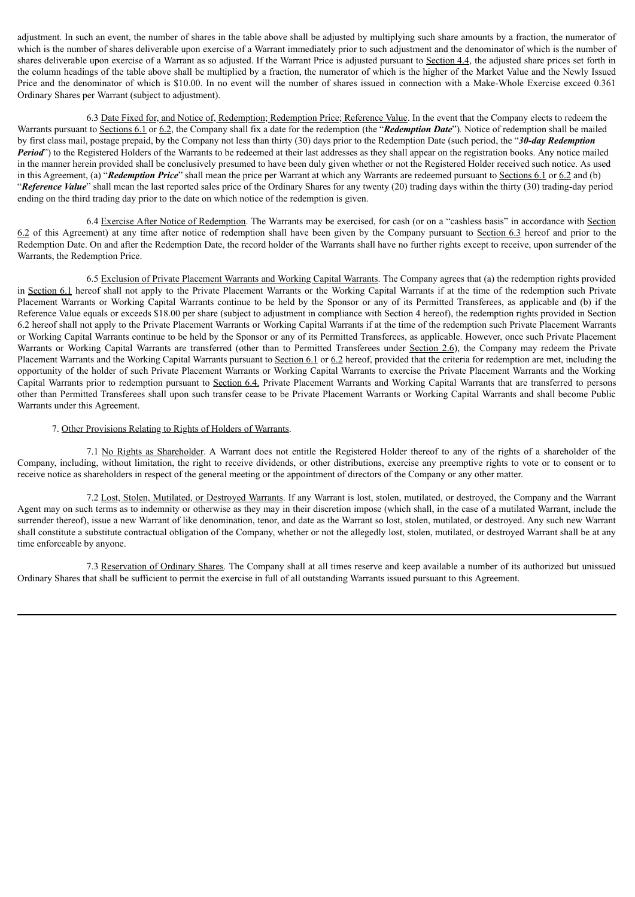adjustment. In such an event, the number of shares in the table above shall be adjusted by multiplying such share amounts by a fraction, the numerator of which is the number of shares deliverable upon exercise of a Warrant immediately prior to such adjustment and the denominator of which is the number of shares deliverable upon exercise of a Warrant as so adjusted. If the Warrant Price is adjusted pursuant to Section 4.4, the adjusted share prices set forth in the column headings of the table above shall be multiplied by a fraction, the numerator of which is the higher of the Market Value and the Newly Issued Price and the denominator of which is \$10.00. In no event will the number of shares issued in connection with a Make-Whole Exercise exceed 0.361 Ordinary Shares per Warrant (subject to adjustment).

6.3 Date Fixed for, and Notice of, Redemption; Redemption Price; Reference Value. In the event that the Company elects to redeem the Warrants pursuant to Sections 6.1 or 6.2, the Company shall fix a date for the redemption (the "*Redemption Date*")*.* Notice of redemption shall be mailed by first class mail, postage prepaid, by the Company not less than thirty (30) days prior to the Redemption Date (such period, the "*30-day Redemption Period*") to the Registered Holders of the Warrants to be redeemed at their last addresses as they shall appear on the registration books. Any notice mailed in the manner herein provided shall be conclusively presumed to have been duly given whether or not the Registered Holder received such notice. As used in this Agreement, (a) "*Redemption Price*" shall mean the price per Warrant at which any Warrants are redeemed pursuant to Sections 6.1 or 6.2 and (b) "*Reference Value*" shall mean the last reported sales price of the Ordinary Shares for any twenty (20) trading days within the thirty (30) trading-day period ending on the third trading day prior to the date on which notice of the redemption is given.

6.4 Exercise After Notice of Redemption. The Warrants may be exercised, for cash (or on a "cashless basis" in accordance with Section 6.2 of this Agreement) at any time after notice of redemption shall have been given by the Company pursuant to Section 6.3 hereof and prior to the Redemption Date. On and after the Redemption Date, the record holder of the Warrants shall have no further rights except to receive, upon surrender of the Warrants, the Redemption Price.

6.5 Exclusion of Private Placement Warrants and Working Capital Warrants. The Company agrees that (a) the redemption rights provided in Section 6.1 hereof shall not apply to the Private Placement Warrants or the Working Capital Warrants if at the time of the redemption such Private Placement Warrants or Working Capital Warrants continue to be held by the Sponsor or any of its Permitted Transferees, as applicable and (b) if the Reference Value equals or exceeds \$18.00 per share (subject to adjustment in compliance with Section 4 hereof), the redemption rights provided in Section 6.2 hereof shall not apply to the Private Placement Warrants or Working Capital Warrants if at the time of the redemption such Private Placement Warrants or Working Capital Warrants continue to be held by the Sponsor or any of its Permitted Transferees, as applicable. However, once such Private Placement Warrants or Working Capital Warrants are transferred (other than to Permitted Transferees under Section 2.6), the Company may redeem the Private Placement Warrants and the Working Capital Warrants pursuant to Section 6.1 or 6.2 hereof, provided that the criteria for redemption are met, including the opportunity of the holder of such Private Placement Warrants or Working Capital Warrants to exercise the Private Placement Warrants and the Working Capital Warrants prior to redemption pursuant to Section 6.4. Private Placement Warrants and Working Capital Warrants that are transferred to persons other than Permitted Transferees shall upon such transfer cease to be Private Placement Warrants or Working Capital Warrants and shall become Public Warrants under this Agreement.

## 7. Other Provisions Relating to Rights of Holders of Warrants.

7.1 No Rights as Shareholder. A Warrant does not entitle the Registered Holder thereof to any of the rights of a shareholder of the Company, including, without limitation, the right to receive dividends, or other distributions, exercise any preemptive rights to vote or to consent or to receive notice as shareholders in respect of the general meeting or the appointment of directors of the Company or any other matter.

7.2 Lost, Stolen, Mutilated, or Destroyed Warrants. If any Warrant is lost, stolen, mutilated, or destroyed, the Company and the Warrant Agent may on such terms as to indemnity or otherwise as they may in their discretion impose (which shall, in the case of a mutilated Warrant, include the surrender thereof), issue a new Warrant of like denomination, tenor, and date as the Warrant so lost, stolen, mutilated, or destroyed. Any such new Warrant shall constitute a substitute contractual obligation of the Company, whether or not the allegedly lost, stolen, mutilated, or destroyed Warrant shall be at any time enforceable by anyone.

7.3 Reservation of Ordinary Shares. The Company shall at all times reserve and keep available a number of its authorized but unissued Ordinary Shares that shall be sufficient to permit the exercise in full of all outstanding Warrants issued pursuant to this Agreement.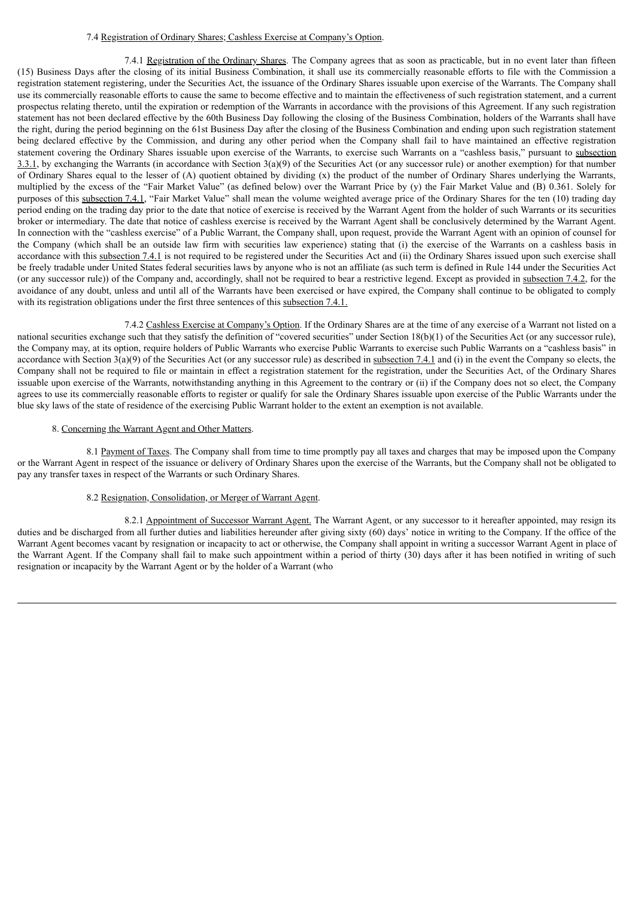## 7.4 Registration of Ordinary Shares; Cashless Exercise at Company's Option.

7.4.1 Registration of the Ordinary Shares. The Company agrees that as soon as practicable, but in no event later than fifteen (15) Business Days after the closing of its initial Business Combination, it shall use its commercially reasonable efforts to file with the Commission a registration statement registering, under the Securities Act, the issuance of the Ordinary Shares issuable upon exercise of the Warrants. The Company shall use its commercially reasonable efforts to cause the same to become effective and to maintain the effectiveness of such registration statement, and a current prospectus relating thereto, until the expiration or redemption of the Warrants in accordance with the provisions of this Agreement. If any such registration statement has not been declared effective by the 60th Business Day following the closing of the Business Combination, holders of the Warrants shall have the right, during the period beginning on the 61st Business Day after the closing of the Business Combination and ending upon such registration statement being declared effective by the Commission, and during any other period when the Company shall fail to have maintained an effective registration statement covering the Ordinary Shares issuable upon exercise of the Warrants, to exercise such Warrants on a "cashless basis," pursuant to subsection 3.3.1, by exchanging the Warrants (in accordance with Section  $3(a)(9)$  of the Securities Act (or any successor rule) or another exemption) for that number of Ordinary Shares equal to the lesser of (A) quotient obtained by dividing (x) the product of the number of Ordinary Shares underlying the Warrants, multiplied by the excess of the "Fair Market Value" (as defined below) over the Warrant Price by (y) the Fair Market Value and (B) 0.361. Solely for purposes of this subsection 7.4.1, "Fair Market Value" shall mean the volume weighted average price of the Ordinary Shares for the ten (10) trading day period ending on the trading day prior to the date that notice of exercise is received by the Warrant Agent from the holder of such Warrants or its securities broker or intermediary. The date that notice of cashless exercise is received by the Warrant Agent shall be conclusively determined by the Warrant Agent. In connection with the "cashless exercise" of a Public Warrant, the Company shall, upon request, provide the Warrant Agent with an opinion of counsel for the Company (which shall be an outside law firm with securities law experience) stating that (i) the exercise of the Warrants on a cashless basis in accordance with this subsection 7.4.1 is not required to be registered under the Securities Act and (ii) the Ordinary Shares issued upon such exercise shall be freely tradable under United States federal securities laws by anyone who is not an affiliate (as such term is defined in Rule 144 under the Securities Act (or any successor rule)) of the Company and, accordingly, shall not be required to bear a restrictive legend. Except as provided in subsection 7.4.2, for the avoidance of any doubt, unless and until all of the Warrants have been exercised or have expired, the Company shall continue to be obligated to comply with its registration obligations under the first three sentences of this subsection 7.4.1.

7.4.2 Cashless Exercise at Company's Option. If the Ordinary Shares are at the time of any exercise of a Warrant not listed on a national securities exchange such that they satisfy the definition of "covered securities" under Section 18(b)(1) of the Securities Act (or any successor rule), the Company may, at its option, require holders of Public Warrants who exercise Public Warrants to exercise such Public Warrants on a "cashless basis" in accordance with Section  $3(a)(9)$  of the Securities Act (or any successor rule) as described in subsection 7.4.1 and (i) in the event the Company so elects, the Company shall not be required to file or maintain in effect a registration statement for the registration, under the Securities Act, of the Ordinary Shares issuable upon exercise of the Warrants, notwithstanding anything in this Agreement to the contrary or (ii) if the Company does not so elect, the Company agrees to use its commercially reasonable efforts to register or qualify for sale the Ordinary Shares issuable upon exercise of the Public Warrants under the blue sky laws of the state of residence of the exercising Public Warrant holder to the extent an exemption is not available.

#### 8. Concerning the Warrant Agent and Other Matters.

8.1 Payment of Taxes. The Company shall from time to time promptly pay all taxes and charges that may be imposed upon the Company or the Warrant Agent in respect of the issuance or delivery of Ordinary Shares upon the exercise of the Warrants, but the Company shall not be obligated to pay any transfer taxes in respect of the Warrants or such Ordinary Shares.

## 8.2 Resignation, Consolidation, or Merger of Warrant Agent.

8.2.1 Appointment of Successor Warrant Agent. The Warrant Agent, or any successor to it hereafter appointed, may resign its duties and be discharged from all further duties and liabilities hereunder after giving sixty (60) days' notice in writing to the Company. If the office of the Warrant Agent becomes vacant by resignation or incapacity to act or otherwise, the Company shall appoint in writing a successor Warrant Agent in place of the Warrant Agent. If the Company shall fail to make such appointment within a period of thirty (30) days after it has been notified in writing of such resignation or incapacity by the Warrant Agent or by the holder of a Warrant (who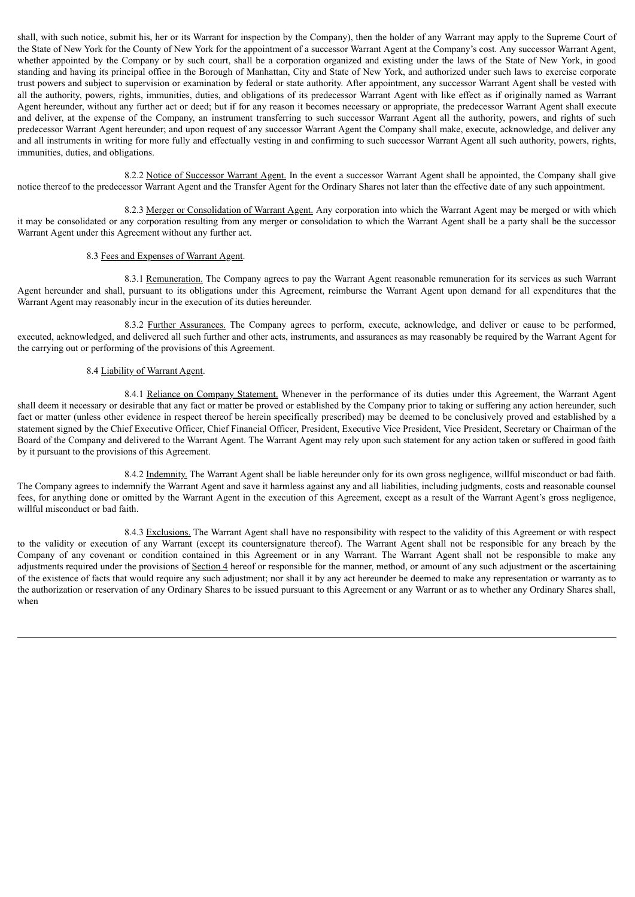shall, with such notice, submit his, her or its Warrant for inspection by the Company), then the holder of any Warrant may apply to the Supreme Court of the State of New York for the County of New York for the appointment of a successor Warrant Agent at the Company's cost. Any successor Warrant Agent, whether appointed by the Company or by such court, shall be a corporation organized and existing under the laws of the State of New York, in good standing and having its principal office in the Borough of Manhattan, City and State of New York, and authorized under such laws to exercise corporate trust powers and subject to supervision or examination by federal or state authority. After appointment, any successor Warrant Agent shall be vested with all the authority, powers, rights, immunities, duties, and obligations of its predecessor Warrant Agent with like effect as if originally named as Warrant Agent hereunder, without any further act or deed; but if for any reason it becomes necessary or appropriate, the predecessor Warrant Agent shall execute and deliver, at the expense of the Company, an instrument transferring to such successor Warrant Agent all the authority, powers, and rights of such predecessor Warrant Agent hereunder; and upon request of any successor Warrant Agent the Company shall make, execute, acknowledge, and deliver any and all instruments in writing for more fully and effectually vesting in and confirming to such successor Warrant Agent all such authority, powers, rights, immunities, duties, and obligations.

8.2.2 Notice of Successor Warrant Agent. In the event a successor Warrant Agent shall be appointed, the Company shall give notice thereof to the predecessor Warrant Agent and the Transfer Agent for the Ordinary Shares not later than the effective date of any such appointment.

8.2.3 Merger or Consolidation of Warrant Agent. Any corporation into which the Warrant Agent may be merged or with which it may be consolidated or any corporation resulting from any merger or consolidation to which the Warrant Agent shall be a party shall be the successor Warrant Agent under this Agreement without any further act.

## 8.3 Fees and Expenses of Warrant Agent.

8.3.1 Remuneration. The Company agrees to pay the Warrant Agent reasonable remuneration for its services as such Warrant Agent hereunder and shall, pursuant to its obligations under this Agreement, reimburse the Warrant Agent upon demand for all expenditures that the Warrant Agent may reasonably incur in the execution of its duties hereunder.

8.3.2 Further Assurances. The Company agrees to perform, execute, acknowledge, and deliver or cause to be performed, executed, acknowledged, and delivered all such further and other acts, instruments, and assurances as may reasonably be required by the Warrant Agent for the carrying out or performing of the provisions of this Agreement.

## 8.4 Liability of Warrant Agent.

8.4.1 Reliance on Company Statement. Whenever in the performance of its duties under this Agreement, the Warrant Agent shall deem it necessary or desirable that any fact or matter be proved or established by the Company prior to taking or suffering any action hereunder, such fact or matter (unless other evidence in respect thereof be herein specifically prescribed) may be deemed to be conclusively proved and established by a statement signed by the Chief Executive Officer, Chief Financial Officer, President, Executive Vice President, Vice President, Secretary or Chairman of the Board of the Company and delivered to the Warrant Agent. The Warrant Agent may rely upon such statement for any action taken or suffered in good faith by it pursuant to the provisions of this Agreement.

8.4.2 Indemnity. The Warrant Agent shall be liable hereunder only for its own gross negligence, willful misconduct or bad faith. The Company agrees to indemnify the Warrant Agent and save it harmless against any and all liabilities, including judgments, costs and reasonable counsel fees, for anything done or omitted by the Warrant Agent in the execution of this Agreement, except as a result of the Warrant Agent's gross negligence, willful misconduct or bad faith.

8.4.3 Exclusions. The Warrant Agent shall have no responsibility with respect to the validity of this Agreement or with respect to the validity or execution of any Warrant (except its countersignature thereof). The Warrant Agent shall not be responsible for any breach by the Company of any covenant or condition contained in this Agreement or in any Warrant. The Warrant Agent shall not be responsible to make any adjustments required under the provisions of Section 4 hereof or responsible for the manner, method, or amount of any such adjustment or the ascertaining of the existence of facts that would require any such adjustment; nor shall it by any act hereunder be deemed to make any representation or warranty as to the authorization or reservation of any Ordinary Shares to be issued pursuant to this Agreement or any Warrant or as to whether any Ordinary Shares shall, when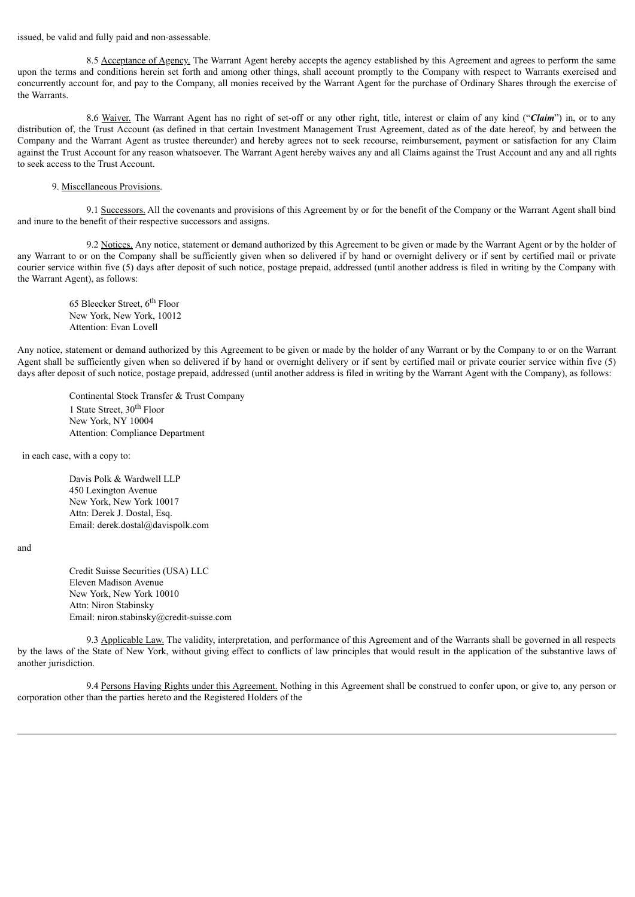issued, be valid and fully paid and non-assessable.

8.5 Acceptance of Agency. The Warrant Agent hereby accepts the agency established by this Agreement and agrees to perform the same upon the terms and conditions herein set forth and among other things, shall account promptly to the Company with respect to Warrants exercised and concurrently account for, and pay to the Company, all monies received by the Warrant Agent for the purchase of Ordinary Shares through the exercise of the Warrants.

8.6 Waiver. The Warrant Agent has no right of set-off or any other right, title, interest or claim of any kind ("*Claim*") in, or to any distribution of, the Trust Account (as defined in that certain Investment Management Trust Agreement, dated as of the date hereof, by and between the Company and the Warrant Agent as trustee thereunder) and hereby agrees not to seek recourse, reimbursement, payment or satisfaction for any Claim against the Trust Account for any reason whatsoever. The Warrant Agent hereby waives any and all Claims against the Trust Account and any and all rights to seek access to the Trust Account.

#### 9. Miscellaneous Provisions.

9.1 Successors. All the covenants and provisions of this Agreement by or for the benefit of the Company or the Warrant Agent shall bind and inure to the benefit of their respective successors and assigns.

9.2 Notices. Any notice, statement or demand authorized by this Agreement to be given or made by the Warrant Agent or by the holder of any Warrant to or on the Company shall be sufficiently given when so delivered if by hand or overnight delivery or if sent by certified mail or private courier service within five (5) days after deposit of such notice, postage prepaid, addressed (until another address is filed in writing by the Company with the Warrant Agent), as follows:

65 Bleecker Street, 6<sup>th</sup> Floor New York, New York, 10012 Attention: Evan Lovell

Any notice, statement or demand authorized by this Agreement to be given or made by the holder of any Warrant or by the Company to or on the Warrant Agent shall be sufficiently given when so delivered if by hand or overnight delivery or if sent by certified mail or private courier service within five (5) days after deposit of such notice, postage prepaid, addressed (until another address is filed in writing by the Warrant Agent with the Company), as follows:

Continental Stock Transfer & Trust Company 1 State Street, 30<sup>th</sup> Floor New York, NY 10004 Attention: Compliance Department

in each case, with a copy to:

Davis Polk & Wardwell LLP 450 Lexington Avenue New York, New York 10017 Attn: Derek J. Dostal, Esq. Email: derek.dostal@davispolk.com

and

Credit Suisse Securities (USA) LLC Eleven Madison Avenue New York, New York 10010 Attn: Niron Stabinsky Email: niron.stabinsky@credit-suisse.com

9.3 Applicable Law. The validity, interpretation, and performance of this Agreement and of the Warrants shall be governed in all respects by the laws of the State of New York, without giving effect to conflicts of law principles that would result in the application of the substantive laws of another jurisdiction.

9.4 Persons Having Rights under this Agreement. Nothing in this Agreement shall be construed to confer upon, or give to, any person or corporation other than the parties hereto and the Registered Holders of the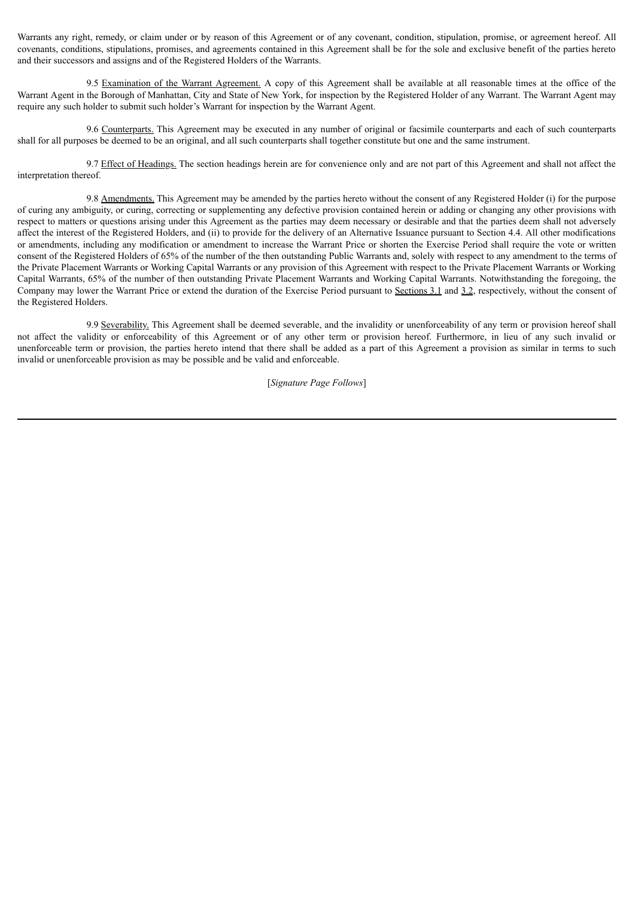Warrants any right, remedy, or claim under or by reason of this Agreement or of any covenant, condition, stipulation, promise, or agreement hereof. All covenants, conditions, stipulations, promises, and agreements contained in this Agreement shall be for the sole and exclusive benefit of the parties hereto and their successors and assigns and of the Registered Holders of the Warrants.

9.5 Examination of the Warrant Agreement. A copy of this Agreement shall be available at all reasonable times at the office of the Warrant Agent in the Borough of Manhattan, City and State of New York, for inspection by the Registered Holder of any Warrant. The Warrant Agent may require any such holder to submit such holder's Warrant for inspection by the Warrant Agent.

9.6 Counterparts. This Agreement may be executed in any number of original or facsimile counterparts and each of such counterparts shall for all purposes be deemed to be an original, and all such counterparts shall together constitute but one and the same instrument.

9.7 Effect of Headings. The section headings herein are for convenience only and are not part of this Agreement and shall not affect the interpretation thereof.

9.8 Amendments. This Agreement may be amended by the parties hereto without the consent of any Registered Holder (i) for the purpose of curing any ambiguity, or curing, correcting or supplementing any defective provision contained herein or adding or changing any other provisions with respect to matters or questions arising under this Agreement as the parties may deem necessary or desirable and that the parties deem shall not adversely affect the interest of the Registered Holders, and (ii) to provide for the delivery of an Alternative Issuance pursuant to Section 4.4. All other modifications or amendments, including any modification or amendment to increase the Warrant Price or shorten the Exercise Period shall require the vote or written consent of the Registered Holders of 65% of the number of the then outstanding Public Warrants and, solely with respect to any amendment to the terms of the Private Placement Warrants or Working Capital Warrants or any provision of this Agreement with respect to the Private Placement Warrants or Working Capital Warrants, 65% of the number of then outstanding Private Placement Warrants and Working Capital Warrants. Notwithstanding the foregoing, the Company may lower the Warrant Price or extend the duration of the Exercise Period pursuant to Sections 3.1 and 3.2, respectively, without the consent of the Registered Holders.

9.9 Severability. This Agreement shall be deemed severable, and the invalidity or unenforceability of any term or provision hereof shall not affect the validity or enforceability of this Agreement or of any other term or provision hereof. Furthermore, in lieu of any such invalid or unenforceable term or provision, the parties hereto intend that there shall be added as a part of this Agreement a provision as similar in terms to such invalid or unenforceable provision as may be possible and be valid and enforceable.

[*Signature Page Follows*]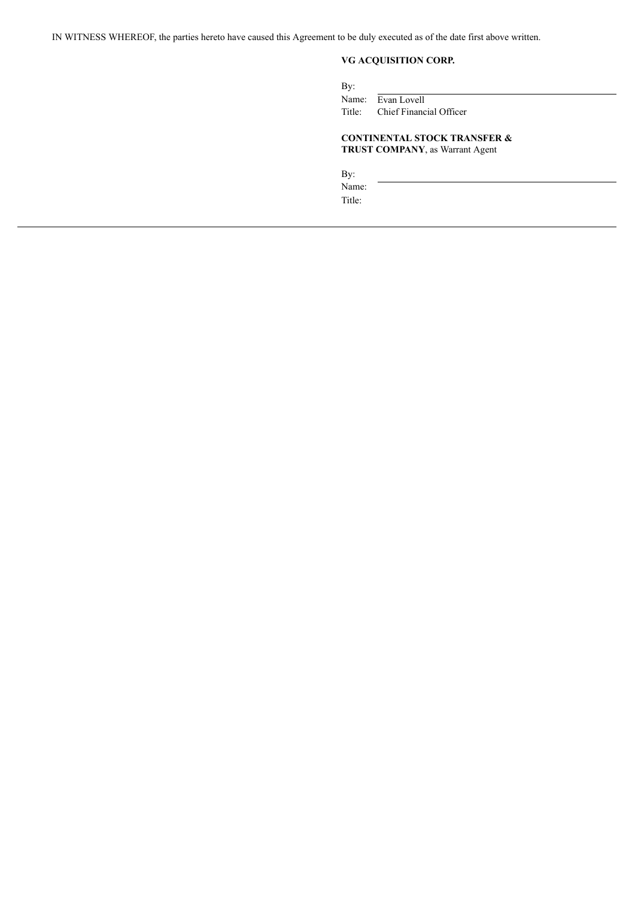IN WITNESS WHEREOF, the parties hereto have caused this Agreement to be duly executed as of the date first above written.

## **VG ACQUISITION CORP.**

By: Name: Evan Lovell<br>Title: Chief Financ Chief Financial Officer

## **CONTINENTAL STOCK TRANSFER & TRUST COMPANY**, as Warrant Agent

By:

Name: Title: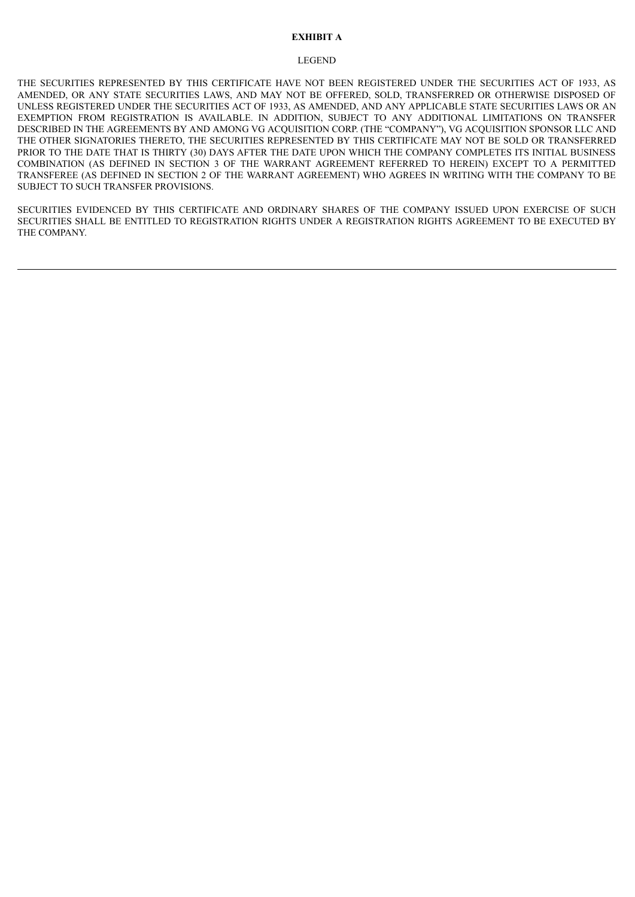## **EXHIBIT A**

### LEGEND

THE SECURITIES REPRESENTED BY THIS CERTIFICATE HAVE NOT BEEN REGISTERED UNDER THE SECURITIES ACT OF 1933, AS AMENDED, OR ANY STATE SECURITIES LAWS, AND MAY NOT BE OFFERED, SOLD, TRANSFERRED OR OTHERWISE DISPOSED OF UNLESS REGISTERED UNDER THE SECURITIES ACT OF 1933, AS AMENDED, AND ANY APPLICABLE STATE SECURITIES LAWS OR AN EXEMPTION FROM REGISTRATION IS AVAILABLE. IN ADDITION, SUBJECT TO ANY ADDITIONAL LIMITATIONS ON TRANSFER DESCRIBED IN THE AGREEMENTS BY AND AMONG VG ACQUISITION CORP. (THE "COMPANY"), VG ACQUISITION SPONSOR LLC AND THE OTHER SIGNATORIES THERETO, THE SECURITIES REPRESENTED BY THIS CERTIFICATE MAY NOT BE SOLD OR TRANSFERRED PRIOR TO THE DATE THAT IS THIRTY (30) DAYS AFTER THE DATE UPON WHICH THE COMPANY COMPLETES ITS INITIAL BUSINESS COMBINATION (AS DEFINED IN SECTION 3 OF THE WARRANT AGREEMENT REFERRED TO HEREIN) EXCEPT TO A PERMITTED TRANSFEREE (AS DEFINED IN SECTION 2 OF THE WARRANT AGREEMENT) WHO AGREES IN WRITING WITH THE COMPANY TO BE SUBJECT TO SUCH TRANSFER PROVISIONS.

SECURITIES EVIDENCED BY THIS CERTIFICATE AND ORDINARY SHARES OF THE COMPANY ISSUED UPON EXERCISE OF SUCH SECURITIES SHALL BE ENTITLED TO REGISTRATION RIGHTS UNDER A REGISTRATION RIGHTS AGREEMENT TO BE EXECUTED BY THE COMPANY.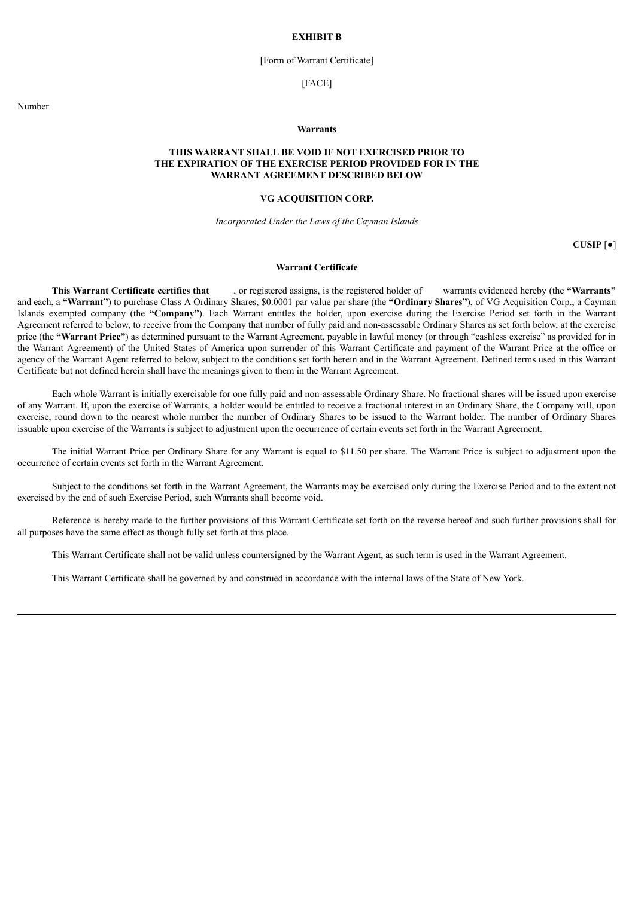#### **EXHIBIT B**

## [Form of Warrant Certificate]

### [FACE]

Number

### **Warrants**

## **THIS WARRANT SHALL BE VOID IF NOT EXERCISED PRIOR TO THE EXPIRATION OF THE EXERCISE PERIOD PROVIDED FOR IN THE WARRANT AGREEMENT DESCRIBED BELOW**

## **VG ACQUISITION CORP.**

*Incorporated Under the Laws of the Cayman Islands*

**CUSIP** [●]

## **Warrant Certificate**

**This Warrant Certificate certifies that** , or registered assigns, is the registered holder of warrants evidenced hereby (the **"Warrants"** and each, a **"Warrant"**) to purchase Class A Ordinary Shares, \$0.0001 par value per share (the **"Ordinary Shares"**), of VG Acquisition Corp., a Cayman Islands exempted company (the **"Company"**). Each Warrant entitles the holder, upon exercise during the Exercise Period set forth in the Warrant Agreement referred to below, to receive from the Company that number of fully paid and non-assessable Ordinary Shares as set forth below, at the exercise price (the **"Warrant Price"**) as determined pursuant to the Warrant Agreement, payable in lawful money (or through "cashless exercise" as provided for in the Warrant Agreement) of the United States of America upon surrender of this Warrant Certificate and payment of the Warrant Price at the office or agency of the Warrant Agent referred to below, subject to the conditions set forth herein and in the Warrant Agreement. Defined terms used in this Warrant Certificate but not defined herein shall have the meanings given to them in the Warrant Agreement.

Each whole Warrant is initially exercisable for one fully paid and non-assessable Ordinary Share. No fractional shares will be issued upon exercise of any Warrant. If, upon the exercise of Warrants, a holder would be entitled to receive a fractional interest in an Ordinary Share, the Company will, upon exercise, round down to the nearest whole number the number of Ordinary Shares to be issued to the Warrant holder. The number of Ordinary Shares issuable upon exercise of the Warrants is subject to adjustment upon the occurrence of certain events set forth in the Warrant Agreement.

The initial Warrant Price per Ordinary Share for any Warrant is equal to \$11.50 per share. The Warrant Price is subject to adjustment upon the occurrence of certain events set forth in the Warrant Agreement.

Subject to the conditions set forth in the Warrant Agreement, the Warrants may be exercised only during the Exercise Period and to the extent not exercised by the end of such Exercise Period, such Warrants shall become void.

Reference is hereby made to the further provisions of this Warrant Certificate set forth on the reverse hereof and such further provisions shall for all purposes have the same effect as though fully set forth at this place.

This Warrant Certificate shall not be valid unless countersigned by the Warrant Agent, as such term is used in the Warrant Agreement.

This Warrant Certificate shall be governed by and construed in accordance with the internal laws of the State of New York.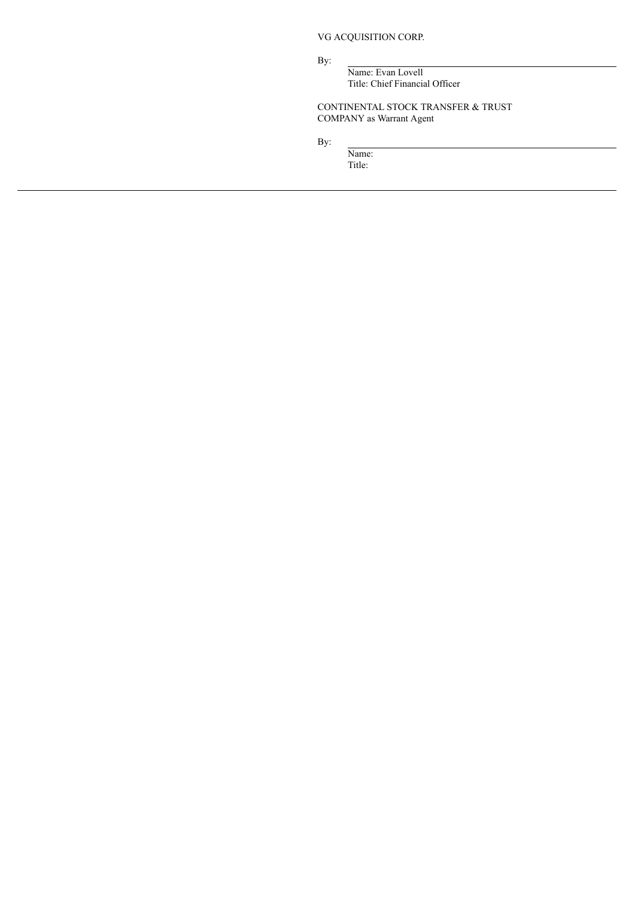VG ACQUISITION CORP.

By:

Name: Evan Lovell Title: Chief Financial Officer

CONTINENTAL STOCK TRANSFER & TRUST COMPANY as Warrant Agent

By:

Name: Title: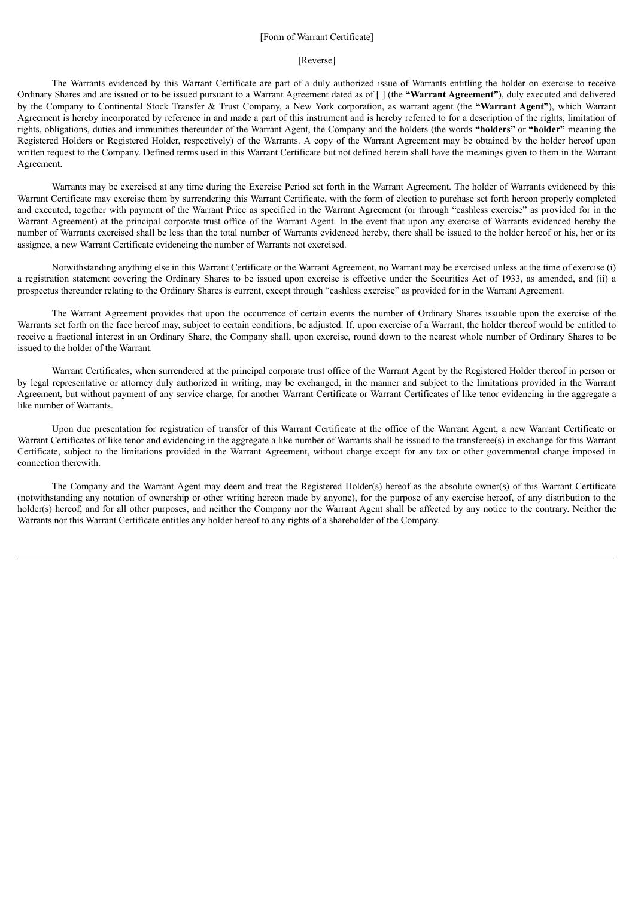## [Form of Warrant Certificate]

## [Reverse]

The Warrants evidenced by this Warrant Certificate are part of a duly authorized issue of Warrants entitling the holder on exercise to receive Ordinary Shares and are issued or to be issued pursuant to a Warrant Agreement dated as of [ ] (the **"Warrant Agreement"**), duly executed and delivered by the Company to Continental Stock Transfer & Trust Company, a New York corporation, as warrant agent (the **"Warrant Agent"**), which Warrant Agreement is hereby incorporated by reference in and made a part of this instrument and is hereby referred to for a description of the rights, limitation of rights, obligations, duties and immunities thereunder of the Warrant Agent, the Company and the holders (the words **"holders"** or **"holder"** meaning the Registered Holders or Registered Holder, respectively) of the Warrants. A copy of the Warrant Agreement may be obtained by the holder hereof upon written request to the Company. Defined terms used in this Warrant Certificate but not defined herein shall have the meanings given to them in the Warrant Agreement.

Warrants may be exercised at any time during the Exercise Period set forth in the Warrant Agreement. The holder of Warrants evidenced by this Warrant Certificate may exercise them by surrendering this Warrant Certificate, with the form of election to purchase set forth hereon properly completed and executed, together with payment of the Warrant Price as specified in the Warrant Agreement (or through "cashless exercise" as provided for in the Warrant Agreement) at the principal corporate trust office of the Warrant Agent. In the event that upon any exercise of Warrants evidenced hereby the number of Warrants exercised shall be less than the total number of Warrants evidenced hereby, there shall be issued to the holder hereof or his, her or its assignee, a new Warrant Certificate evidencing the number of Warrants not exercised.

Notwithstanding anything else in this Warrant Certificate or the Warrant Agreement, no Warrant may be exercised unless at the time of exercise (i) a registration statement covering the Ordinary Shares to be issued upon exercise is effective under the Securities Act of 1933, as amended, and (ii) a prospectus thereunder relating to the Ordinary Shares is current, except through "cashless exercise" as provided for in the Warrant Agreement.

The Warrant Agreement provides that upon the occurrence of certain events the number of Ordinary Shares issuable upon the exercise of the Warrants set forth on the face hereof may, subject to certain conditions, be adjusted. If, upon exercise of a Warrant, the holder thereof would be entitled to receive a fractional interest in an Ordinary Share, the Company shall, upon exercise, round down to the nearest whole number of Ordinary Shares to be issued to the holder of the Warrant.

Warrant Certificates, when surrendered at the principal corporate trust office of the Warrant Agent by the Registered Holder thereof in person or by legal representative or attorney duly authorized in writing, may be exchanged, in the manner and subject to the limitations provided in the Warrant Agreement, but without payment of any service charge, for another Warrant Certificate or Warrant Certificates of like tenor evidencing in the aggregate a like number of Warrants.

Upon due presentation for registration of transfer of this Warrant Certificate at the office of the Warrant Agent, a new Warrant Certificate or Warrant Certificates of like tenor and evidencing in the aggregate a like number of Warrants shall be issued to the transferee(s) in exchange for this Warrant Certificate, subject to the limitations provided in the Warrant Agreement, without charge except for any tax or other governmental charge imposed in connection therewith.

The Company and the Warrant Agent may deem and treat the Registered Holder(s) hereof as the absolute owner(s) of this Warrant Certificate (notwithstanding any notation of ownership or other writing hereon made by anyone), for the purpose of any exercise hereof, of any distribution to the holder(s) hereof, and for all other purposes, and neither the Company nor the Warrant Agent shall be affected by any notice to the contrary. Neither the Warrants nor this Warrant Certificate entitles any holder hereof to any rights of a shareholder of the Company.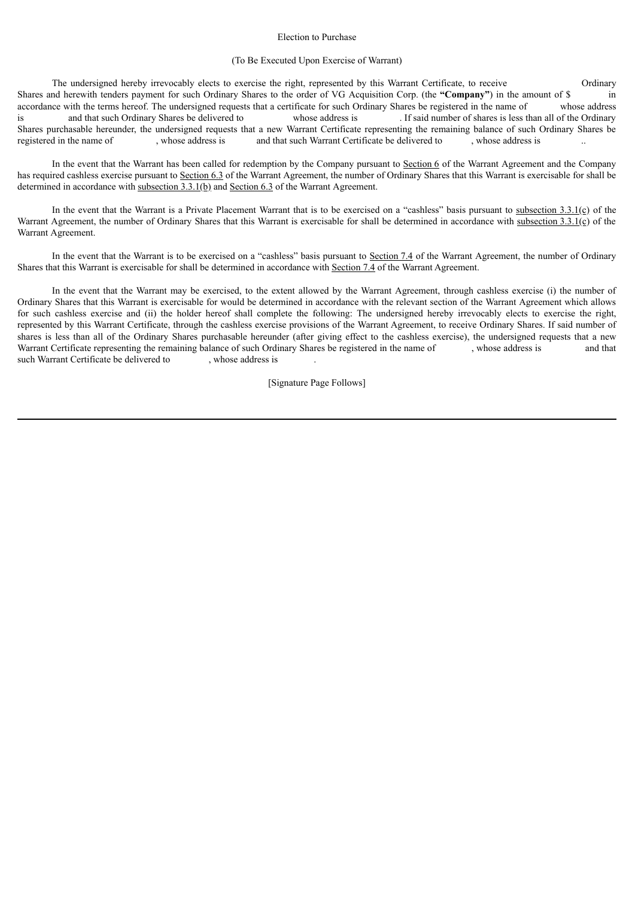#### Election to Purchase

### (To Be Executed Upon Exercise of Warrant)

The undersigned hereby irrevocably elects to exercise the right, represented by this Warrant Certificate, to receive Ordinary Shares and herewith tenders payment for such Ordinary Shares to the order of VG Acquisition Corp. (the **"Company"**) in the amount of \$ in accordance with the terms hereof. The undersigned requests that a certificate for such Ordinary Shares be registered in the name of whose address is and that such Ordinary Shares be delivered to whose address is . If said number of shares is less than all of the Ordinary Shares purchasable hereunder, the undersigned requests that a new Warrant Certificate representing the remaining balance of such Ordinary Shares be registered in the name of , whose address is and that such Warrant Certificate be delivered to , whose address is

In the event that the Warrant has been called for redemption by the Company pursuant to Section 6 of the Warrant Agreement and the Company has required cashless exercise pursuant to Section 6.3 of the Warrant Agreement, the number of Ordinary Shares that this Warrant is exercisable for shall be determined in accordance with subsection 3.3.1(b) and Section 6.3 of the Warrant Agreement.

In the event that the Warrant is a Private Placement Warrant that is to be exercised on a "cashless" basis pursuant to subsection 3.3.1(c) of the Warrant Agreement, the number of Ordinary Shares that this Warrant is exercisable for shall be determined in accordance with subsection 3.3.1(c) of the Warrant Agreement.

In the event that the Warrant is to be exercised on a "cashless" basis pursuant to Section 7.4 of the Warrant Agreement, the number of Ordinary Shares that this Warrant is exercisable for shall be determined in accordance with Section 7.4 of the Warrant Agreement.

In the event that the Warrant may be exercised, to the extent allowed by the Warrant Agreement, through cashless exercise (i) the number of Ordinary Shares that this Warrant is exercisable for would be determined in accordance with the relevant section of the Warrant Agreement which allows for such cashless exercise and (ii) the holder hereof shall complete the following: The undersigned hereby irrevocably elects to exercise the right, represented by this Warrant Certificate, through the cashless exercise provisions of the Warrant Agreement, to receive Ordinary Shares. If said number of shares is less than all of the Ordinary Shares purchasable hereunder (after giving effect to the cashless exercise), the undersigned requests that a new Warrant Certificate representing the remaining balance of such Ordinary Shares be registered in the name of , whose address is and that such Warrant Certificate be delivered to , whose address is

[Signature Page Follows]